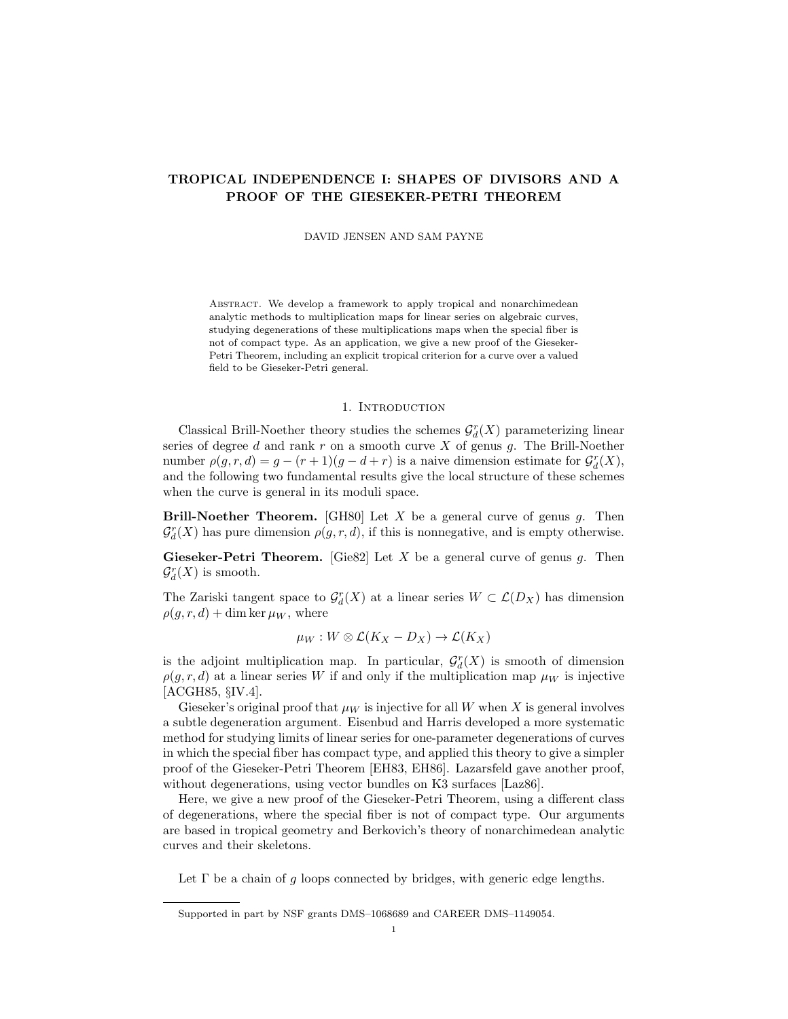# TROPICAL INDEPENDENCE I: SHAPES OF DIVISORS AND A PROOF OF THE GIESEKER-PETRI THEOREM

DAVID JENSEN AND SAM PAYNE

ABSTRACT. We develop a framework to apply tropical and nonarchimedean analytic methods to multiplication maps for linear series on algebraic curves, studying degenerations of these multiplications maps when the special fiber is not of compact type. As an application, we give a new proof of the Gieseker-Petri Theorem, including an explicit tropical criterion for a curve over a valued field to be Gieseker-Petri general.

#### 1. INTRODUCTION

Classical Brill-Noether theory studies the schemes  $\mathcal{G}^r_d(X)$  parameterizing linear series of degree  $d$  and rank  $r$  on a smooth curve  $X$  of genus  $g$ . The Brill-Noether number  $\rho(g, r, d) = g - (r + 1)(g - d + r)$  is a naive dimension estimate for  $\mathcal{G}_d^r(X)$ , and the following two fundamental results give the local structure of these schemes when the curve is general in its moduli space.

**Brill-Noether Theorem.** [GH80] Let X be a general curve of genus g. Then  $\mathcal{G}_{d}^{r}(X)$  has pure dimension  $\rho(g,r,d)$ , if this is nonnegative, and is empty otherwise.

**Gieseker-Petri Theorem.** [Gie82] Let X be a general curve of genus g. Then  $\mathcal{G}_{d}^{r}(X)$  is smooth.

The Zariski tangent space to  $\mathcal{G}_d^r(X)$  at a linear series  $W \subset \mathcal{L}(D_X)$  has dimension  $\rho(q, r, d)$  + dim ker  $\mu_W$ , where

$$
\mu_W: W \otimes \mathcal{L}(K_X - D_X) \to \mathcal{L}(K_X)
$$

is the adjoint multiplication map. In particular,  $\mathcal{G}_d^r(X)$  is smooth of dimension  $\rho(g, r, d)$  at a linear series W if and only if the multiplication map  $\mu_W$  is injective [ACGH85, §IV.4].

Gieseker's original proof that  $\mu_W$  is injective for all W when X is general involves a subtle degeneration argument. Eisenbud and Harris developed a more systematic method for studying limits of linear series for one-parameter degenerations of curves in which the special fiber has compact type, and applied this theory to give a simpler proof of the Gieseker-Petri Theorem [EH83, EH86]. Lazarsfeld gave another proof, without degenerations, using vector bundles on K3 surfaces [Laz86].

Here, we give a new proof of the Gieseker-Petri Theorem, using a different class of degenerations, where the special fiber is not of compact type. Our arguments are based in tropical geometry and Berkovich's theory of nonarchimedean analytic curves and their skeletons.

Let  $\Gamma$  be a chain of g loops connected by bridges, with generic edge lengths.

Supported in part by NSF grants DMS–1068689 and CAREER DMS–1149054.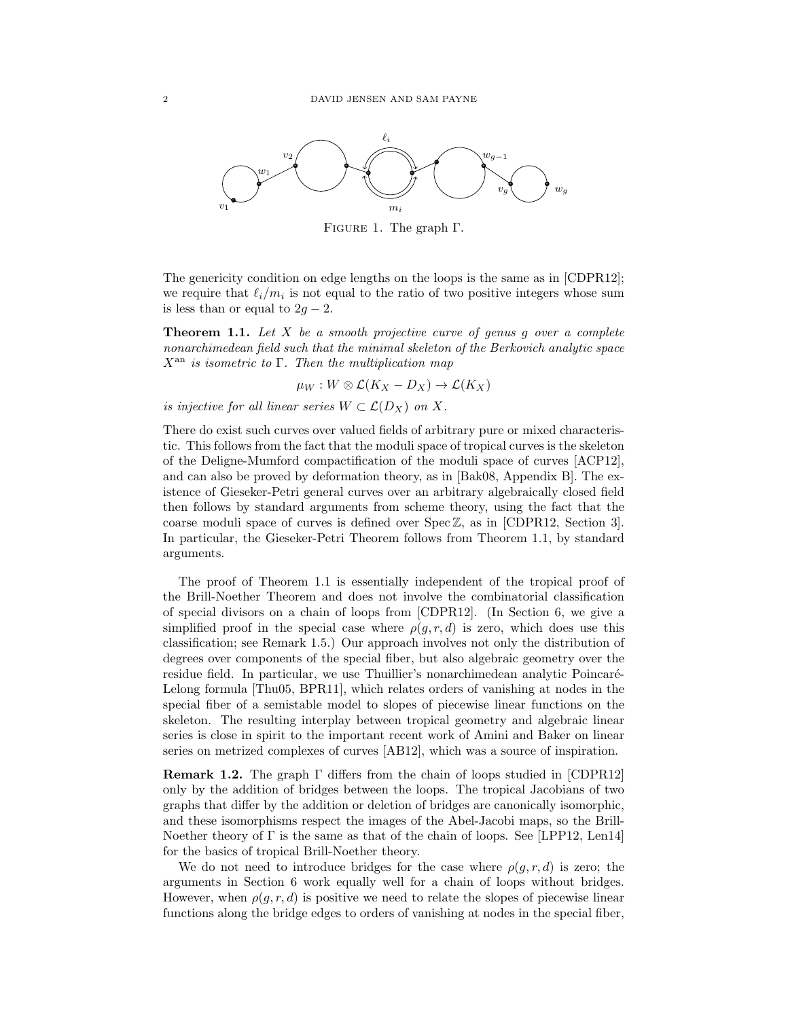

Figure 1. The graph Γ.

The genericity condition on edge lengths on the loops is the same as in [CDPR12]; we require that  $\ell_i/m_i$  is not equal to the ratio of two positive integers whose sum is less than or equal to  $2q - 2$ .

**Theorem 1.1.** Let  $X$  be a smooth projective curve of genus g over a complete nonarchimedean field such that the minimal skeleton of the Berkovich analytic space  $X^{\text{an}}$  is isometric to  $\Gamma$ . Then the multiplication map

 $\mu_W : W \otimes \mathcal{L}(K_X - D_X) \to \mathcal{L}(K_X)$ 

is injective for all linear series  $W \subset \mathcal{L}(D_X)$  on X.

There do exist such curves over valued fields of arbitrary pure or mixed characteristic. This follows from the fact that the moduli space of tropical curves is the skeleton of the Deligne-Mumford compactification of the moduli space of curves [ACP12], and can also be proved by deformation theory, as in [Bak08, Appendix B]. The existence of Gieseker-Petri general curves over an arbitrary algebraically closed field then follows by standard arguments from scheme theory, using the fact that the coarse moduli space of curves is defined over  $Spec \mathbb{Z}$ , as in [CDPR12, Section 3]. In particular, the Gieseker-Petri Theorem follows from Theorem 1.1, by standard arguments.

The proof of Theorem 1.1 is essentially independent of the tropical proof of the Brill-Noether Theorem and does not involve the combinatorial classification of special divisors on a chain of loops from [CDPR12]. (In Section 6, we give a simplified proof in the special case where  $\rho(q, r, d)$  is zero, which does use this classification; see Remark 1.5.) Our approach involves not only the distribution of degrees over components of the special fiber, but also algebraic geometry over the residue field. In particular, we use Thuillier's nonarchimedean analytic Poincaré-Lelong formula [Thu05, BPR11], which relates orders of vanishing at nodes in the special fiber of a semistable model to slopes of piecewise linear functions on the skeleton. The resulting interplay between tropical geometry and algebraic linear series is close in spirit to the important recent work of Amini and Baker on linear series on metrized complexes of curves [AB12], which was a source of inspiration.

Remark 1.2. The graph Γ differs from the chain of loops studied in [CDPR12] only by the addition of bridges between the loops. The tropical Jacobians of two graphs that differ by the addition or deletion of bridges are canonically isomorphic, and these isomorphisms respect the images of the Abel-Jacobi maps, so the Brill-Noether theory of  $\Gamma$  is the same as that of the chain of loops. See [LPP12, Len14] for the basics of tropical Brill-Noether theory.

We do not need to introduce bridges for the case where  $\rho(g, r, d)$  is zero; the arguments in Section 6 work equally well for a chain of loops without bridges. However, when  $\rho(g, r, d)$  is positive we need to relate the slopes of piecewise linear functions along the bridge edges to orders of vanishing at nodes in the special fiber,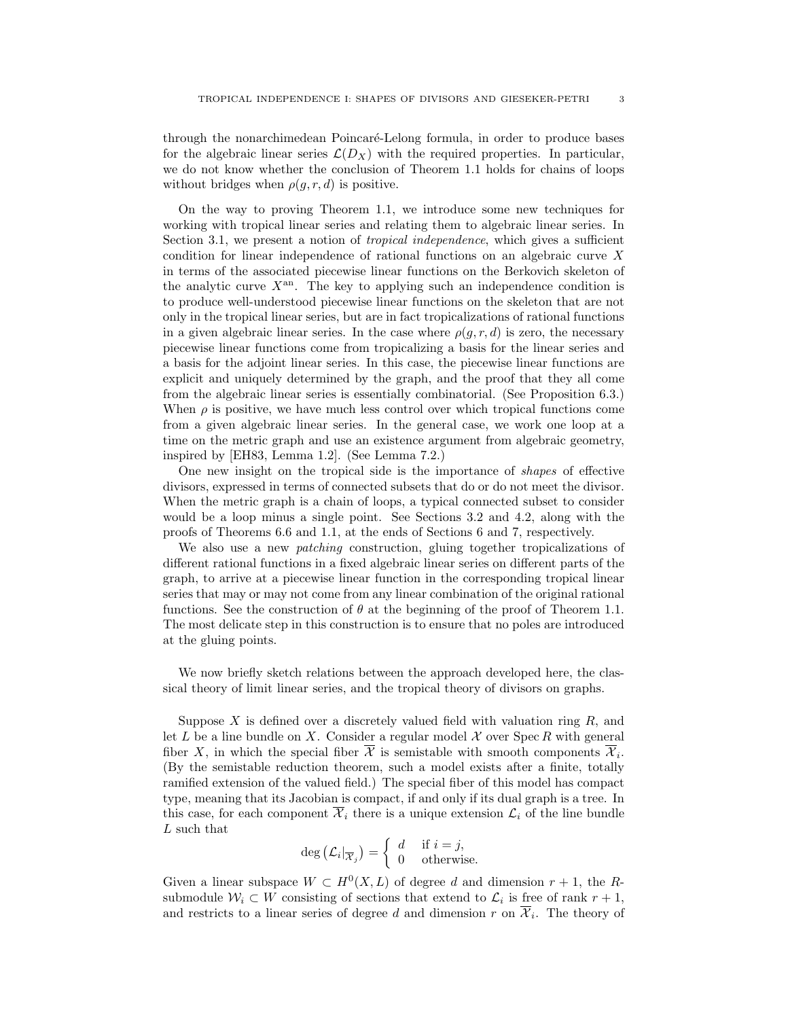through the nonarchimedean Poincaré-Lelong formula, in order to produce bases for the algebraic linear series  $\mathcal{L}(D_X)$  with the required properties. In particular, we do not know whether the conclusion of Theorem 1.1 holds for chains of loops without bridges when  $\rho(g, r, d)$  is positive.

On the way to proving Theorem 1.1, we introduce some new techniques for working with tropical linear series and relating them to algebraic linear series. In Section 3.1, we present a notion of *tropical independence*, which gives a sufficient condition for linear independence of rational functions on an algebraic curve X in terms of the associated piecewise linear functions on the Berkovich skeleton of the analytic curve  $X<sup>an</sup>$ . The key to applying such an independence condition is to produce well-understood piecewise linear functions on the skeleton that are not only in the tropical linear series, but are in fact tropicalizations of rational functions in a given algebraic linear series. In the case where  $\rho(g, r, d)$  is zero, the necessary piecewise linear functions come from tropicalizing a basis for the linear series and a basis for the adjoint linear series. In this case, the piecewise linear functions are explicit and uniquely determined by the graph, and the proof that they all come from the algebraic linear series is essentially combinatorial. (See Proposition 6.3.) When  $\rho$  is positive, we have much less control over which tropical functions come from a given algebraic linear series. In the general case, we work one loop at a time on the metric graph and use an existence argument from algebraic geometry, inspired by [EH83, Lemma 1.2]. (See Lemma 7.2.)

One new insight on the tropical side is the importance of shapes of effective divisors, expressed in terms of connected subsets that do or do not meet the divisor. When the metric graph is a chain of loops, a typical connected subset to consider would be a loop minus a single point. See Sections 3.2 and 4.2, along with the proofs of Theorems 6.6 and 1.1, at the ends of Sections 6 and 7, respectively.

We also use a new patching construction, gluing together tropicalizations of different rational functions in a fixed algebraic linear series on different parts of the graph, to arrive at a piecewise linear function in the corresponding tropical linear series that may or may not come from any linear combination of the original rational functions. See the construction of  $\theta$  at the beginning of the proof of Theorem 1.1. The most delicate step in this construction is to ensure that no poles are introduced at the gluing points.

We now briefly sketch relations between the approach developed here, the classical theory of limit linear series, and the tropical theory of divisors on graphs.

Suppose  $X$  is defined over a discretely valued field with valuation ring  $R$ , and let L be a line bundle on X. Consider a regular model  $\mathcal X$  over Spec R with general fiber X, in which the special fiber  $\mathcal X$  is semistable with smooth components  $\mathcal X_i$ . (By the semistable reduction theorem, such a model exists after a finite, totally ramified extension of the valued field.) The special fiber of this model has compact type, meaning that its Jacobian is compact, if and only if its dual graph is a tree. In this case, for each component  $\overline{\mathcal{X}}_i$  there is a unique extension  $\mathcal{L}_i$  of the line bundle L such that

$$
\deg\left(\mathcal{L}_i|_{\overline{\mathcal{X}}_j}\right) = \left\{\begin{array}{ll} d & \text{if } i = j, \\ 0 & \text{otherwise.} \end{array}\right.
$$

Given a linear subspace  $W \subset H^0(X, L)$  of degree d and dimension  $r + 1$ , the Rsubmodule  $W_i \subset W$  consisting of sections that extend to  $\mathcal{L}_i$  is free of rank  $r + 1$ , and restricts to a linear series of degree d and dimension r on  $\overline{\mathcal{X}}_i$ . The theory of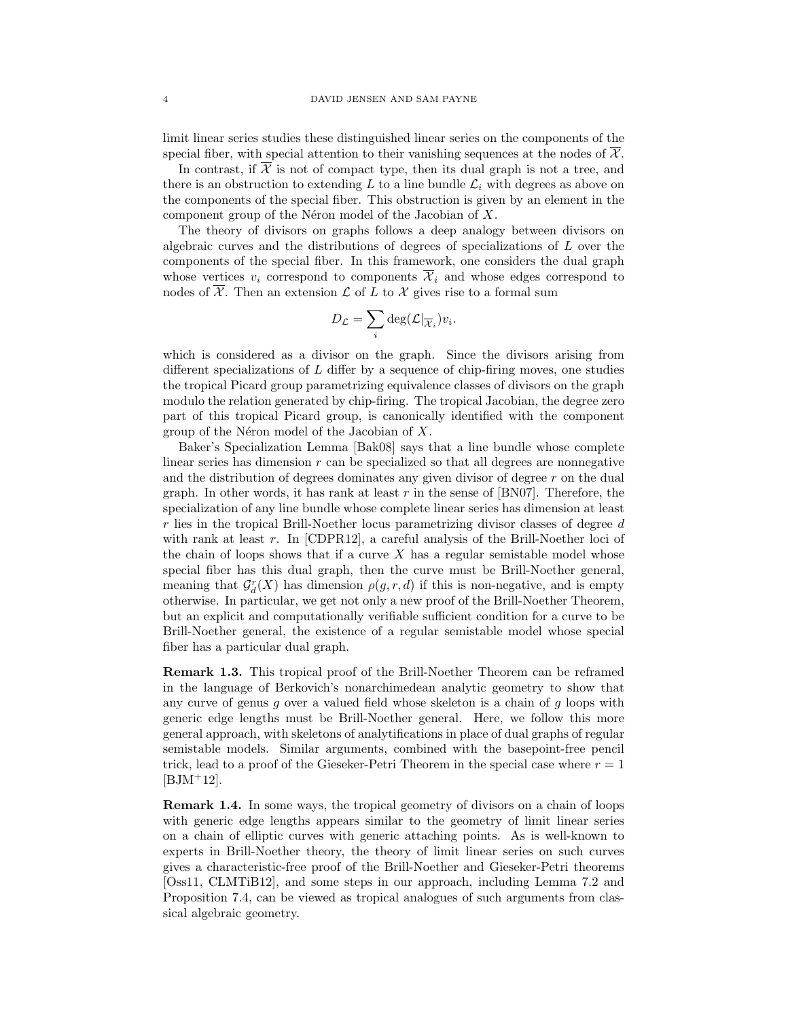limit linear series studies these distinguished linear series on the components of the special fiber, with special attention to their vanishing sequences at the nodes of  $\mathcal{X}$ .

In contrast, if  $\overline{\mathcal{X}}$  is not of compact type, then its dual graph is not a tree, and there is an obstruction to extending  $L$  to a line bundle  $\mathcal{L}_i$  with degrees as above on the components of the special fiber. This obstruction is given by an element in the component group of the Néron model of the Jacobian of  $X$ .

The theory of divisors on graphs follows a deep analogy between divisors on algebraic curves and the distributions of degrees of specializations of L over the components of the special fiber. In this framework, one considers the dual graph whose vertices  $v_i$  correspond to components  $\overline{\mathcal{X}}_i$  and whose edges correspond to nodes of  $\overline{\mathcal{X}}$ . Then an extension  $\mathcal L$  of L to X gives rise to a formal sum

$$
D_{\mathcal{L}} = \sum_{i} \deg(\mathcal{L}|_{\overline{\mathcal{X}}_i}) v_i.
$$

which is considered as a divisor on the graph. Since the divisors arising from different specializations of  $L$  differ by a sequence of chip-firing moves, one studies the tropical Picard group parametrizing equivalence classes of divisors on the graph modulo the relation generated by chip-firing. The tropical Jacobian, the degree zero part of this tropical Picard group, is canonically identified with the component group of the Néron model of the Jacobian of  $X$ .

Baker's Specialization Lemma [Bak08] says that a line bundle whose complete linear series has dimension r can be specialized so that all degrees are nonnegative and the distribution of degrees dominates any given divisor of degree  $r$  on the dual graph. In other words, it has rank at least  $r$  in the sense of [BN07]. Therefore, the specialization of any line bundle whose complete linear series has dimension at least  $r$  lies in the tropical Brill-Noether locus parametrizing divisor classes of degree  $d$ with rank at least r. In  $[CDPR12]$ , a careful analysis of the Brill-Noether loci of the chain of loops shows that if a curve  $X$  has a regular semistable model whose special fiber has this dual graph, then the curve must be Brill-Noether general, meaning that  $\mathcal{G}_d^r(X)$  has dimension  $\rho(g,r,d)$  if this is non-negative, and is empty otherwise. In particular, we get not only a new proof of the Brill-Noether Theorem, but an explicit and computationally verifiable sufficient condition for a curve to be Brill-Noether general, the existence of a regular semistable model whose special fiber has a particular dual graph.

Remark 1.3. This tropical proof of the Brill-Noether Theorem can be reframed in the language of Berkovich's nonarchimedean analytic geometry to show that any curve of genus q over a valued field whose skeleton is a chain of  $q$  loops with generic edge lengths must be Brill-Noether general. Here, we follow this more general approach, with skeletons of analytifications in place of dual graphs of regular semistable models. Similar arguments, combined with the basepoint-free pencil trick, lead to a proof of the Gieseker-Petri Theorem in the special case where  $r = 1$  $[BJM^+12]$ .

Remark 1.4. In some ways, the tropical geometry of divisors on a chain of loops with generic edge lengths appears similar to the geometry of limit linear series on a chain of elliptic curves with generic attaching points. As is well-known to experts in Brill-Noether theory, the theory of limit linear series on such curves gives a characteristic-free proof of the Brill-Noether and Gieseker-Petri theorems [Oss11, CLMTiB12], and some steps in our approach, including Lemma 7.2 and Proposition 7.4, can be viewed as tropical analogues of such arguments from classical algebraic geometry.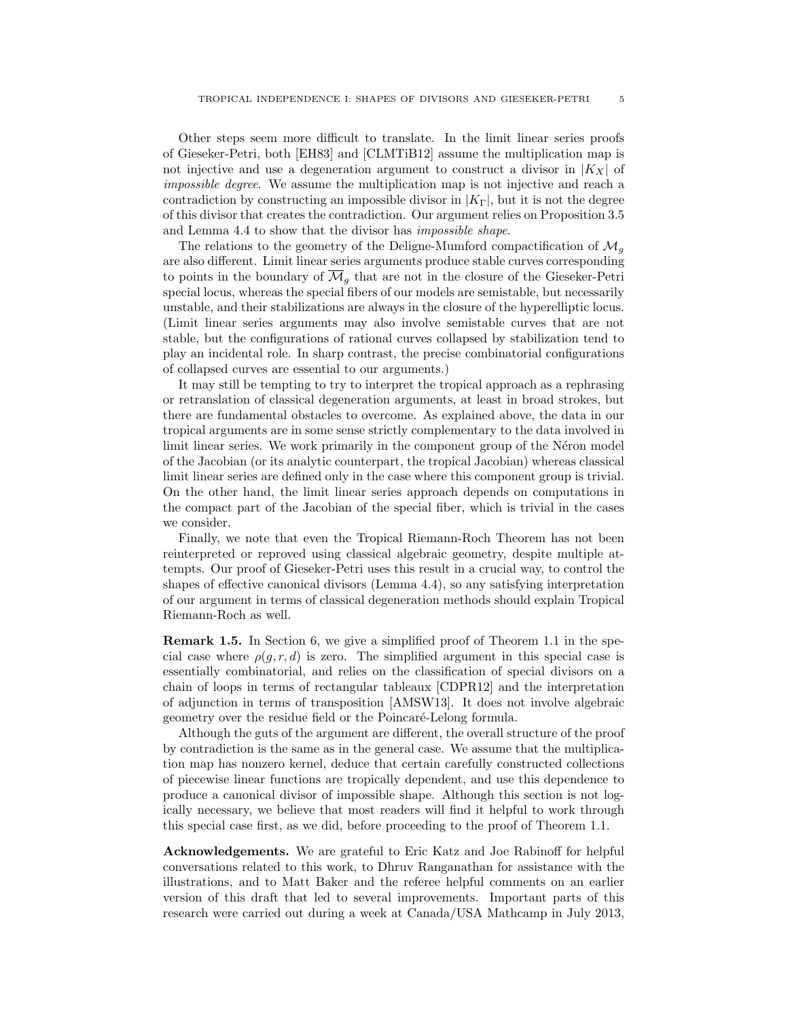Other steps seem more difficult to translate. In the limit linear series proofs of Gieseker-Petri, both [EH83] and [CLMTiB12] assume the multiplication map is not injective and use a degeneration argument to construct a divisor in  $|K_X|$  of impossible degree. We assume the multiplication map is not injective and reach a contradiction by constructing an impossible divisor in  $|K_{\Gamma}|$ , but it is not the degree of this divisor that creates the contradiction. Our argument relies on Proposition 3.5 and Lemma 4.4 to show that the divisor has impossible shape.

The relations to the geometry of the Deligne-Mumford compactification of  $\mathcal{M}_q$ are also different. Limit linear series arguments produce stable curves corresponding to points in the boundary of  $\overline{\mathcal{M}}_q$  that are not in the closure of the Gieseker-Petri special locus, whereas the special fibers of our models are semistable, but necessarily unstable, and their stabilizations are always in the closure of the hyperelliptic locus. (Limit linear series arguments may also involve semistable curves that are not stable, but the configurations of rational curves collapsed by stabilization tend to play an incidental role. In sharp contrast, the precise combinatorial configurations of collapsed curves are essential to our arguments.)

It may still be tempting to try to interpret the tropical approach as a rephrasing or retranslation of classical degeneration arguments, at least in broad strokes, but there are fundamental obstacles to overcome. As explained above, the data in our tropical arguments are in some sense strictly complementary to the data involved in limit linear series. We work primarily in the component group of the Néron model of the Jacobian (or its analytic counterpart, the tropical Jacobian) whereas classical limit linear series are defined only in the case where this component group is trivial. On the other hand, the limit linear series approach depends on computations in the compact part of the Jacobian of the special fiber, which is trivial in the cases we consider.

Finally, we note that even the Tropical Riemann-Roch Theorem has not been reinterpreted or reproved using classical algebraic geometry, despite multiple attempts. Our proof of Gieseker-Petri uses this result in a crucial way, to control the shapes of effective canonical divisors (Lemma 4.4), so any satisfying interpretation of our argument in terms of classical degeneration methods should explain Tropical Riemann-Roch as well.

Remark 1.5. In Section 6, we give a simplified proof of Theorem 1.1 in the special case where  $\rho(g, r, d)$  is zero. The simplified argument in this special case is essentially combinatorial, and relies on the classification of special divisors on a chain of loops in terms of rectangular tableaux [CDPR12] and the interpretation of adjunction in terms of transposition [AMSW13]. It does not involve algebraic geometry over the residue field or the Poincaré-Lelong formula.

Although the guts of the argument are different, the overall structure of the proof by contradiction is the same as in the general case. We assume that the multiplication map has nonzero kernel, deduce that certain carefully constructed collections of piecewise linear functions are tropically dependent, and use this dependence to produce a canonical divisor of impossible shape. Although this section is not logically necessary, we believe that most readers will find it helpful to work through this special case first, as we did, before proceeding to the proof of Theorem 1.1.

Acknowledgements. We are grateful to Eric Katz and Joe Rabinoff for helpful conversations related to this work, to Dhruv Ranganathan for assistance with the illustrations, and to Matt Baker and the referee helpful comments on an earlier version of this draft that led to several improvements. Important parts of this research were carried out during a week at Canada/USA Mathcamp in July 2013,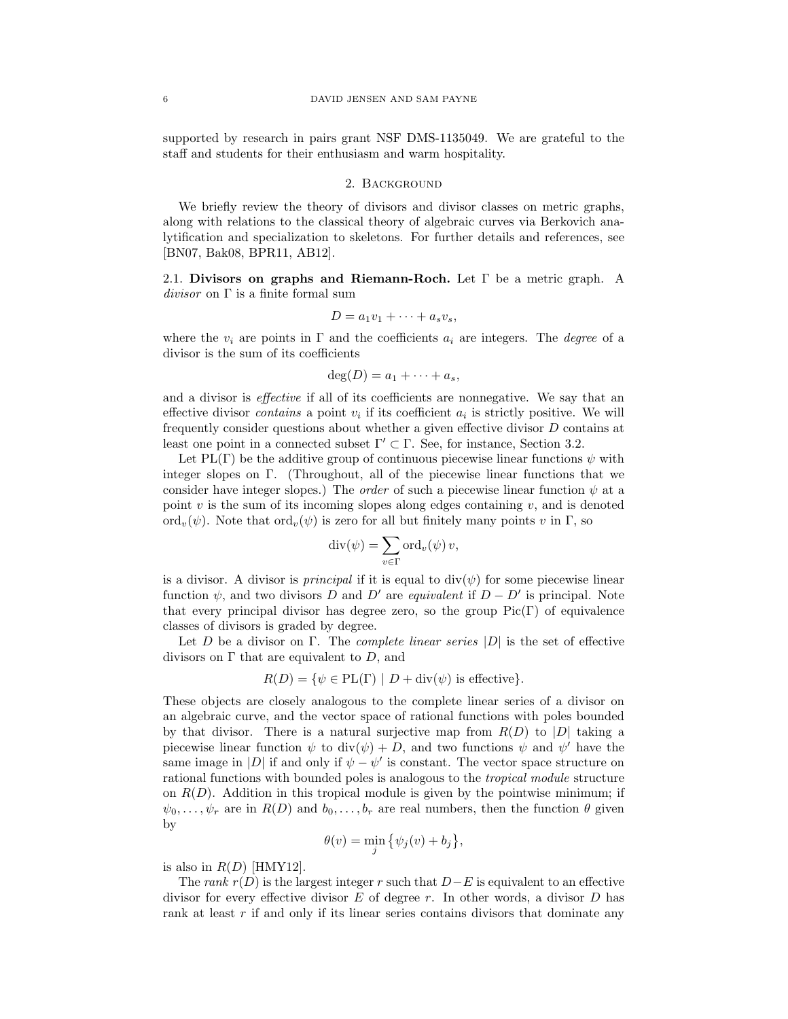supported by research in pairs grant NSF DMS-1135049. We are grateful to the staff and students for their enthusiasm and warm hospitality.

# 2. Background

We briefly review the theory of divisors and divisor classes on metric graphs, along with relations to the classical theory of algebraic curves via Berkovich analytification and specialization to skeletons. For further details and references, see [BN07, Bak08, BPR11, AB12].

2.1. Divisors on graphs and Riemann-Roch. Let  $\Gamma$  be a metric graph. A divisor on  $\Gamma$  is a finite formal sum

$$
D = a_1v_1 + \cdots + a_sv_s,
$$

where the  $v_i$  are points in  $\Gamma$  and the coefficients  $a_i$  are integers. The *degree* of a divisor is the sum of its coefficients

$$
\deg(D) = a_1 + \cdots + a_s,
$$

and a divisor is effective if all of its coefficients are nonnegative. We say that an effective divisor *contains* a point  $v_i$  if its coefficient  $a_i$  is strictly positive. We will frequently consider questions about whether a given effective divisor D contains at least one point in a connected subset  $\Gamma' \subset \Gamma$ . See, for instance, Section 3.2.

Let PL(Γ) be the additive group of continuous piecewise linear functions  $\psi$  with integer slopes on Γ. (Throughout, all of the piecewise linear functions that we consider have integer slopes.) The *order* of such a piecewise linear function  $\psi$  at a point  $v$  is the sum of its incoming slopes along edges containing  $v$ , and is denoted ord<sub>v</sub>( $\psi$ ). Note that ord<sub>v</sub>( $\psi$ ) is zero for all but finitely many points v in Γ, so

$$
\mathrm{div}(\psi) = \sum_{v \in \Gamma} \mathrm{ord}_v(\psi) \, v,
$$

is a divisor. A divisor is *principal* if it is equal to  $div(\psi)$  for some piecewise linear function  $\psi$ , and two divisors D and D' are *equivalent* if  $D - D'$  is principal. Note that every principal divisor has degree zero, so the group  $Pic(\Gamma)$  of equivalence classes of divisors is graded by degree.

Let D be a divisor on Γ. The *complete linear series*  $|D|$  is the set of effective divisors on  $\Gamma$  that are equivalent to  $D$ , and

$$
R(D) = \{ \psi \in PL(\Gamma) \mid D + \text{div}(\psi) \text{ is effective} \}.
$$

These objects are closely analogous to the complete linear series of a divisor on an algebraic curve, and the vector space of rational functions with poles bounded by that divisor. There is a natural surjective map from  $R(D)$  to  $|D|$  taking a piecewise linear function  $\psi$  to  $\text{div}(\psi) + D$ , and two functions  $\psi$  and  $\psi'$  have the same image in |D| if and only if  $\psi - \psi'$  is constant. The vector space structure on rational functions with bounded poles is analogous to the tropical module structure on  $R(D)$ . Addition in this tropical module is given by the pointwise minimum; if  $\psi_0, \ldots, \psi_r$  are in  $R(D)$  and  $b_0, \ldots, b_r$  are real numbers, then the function  $\theta$  given by

$$
\theta(v) = \min_{j} \{ \psi_j(v) + b_j \},
$$

is also in  $R(D)$  [HMY12].

The rank  $r(D)$  is the largest integer r such that  $D-E$  is equivalent to an effective divisor for every effective divisor  $E$  of degree  $r$ . In other words, a divisor  $D$  has rank at least  $r$  if and only if its linear series contains divisors that dominate any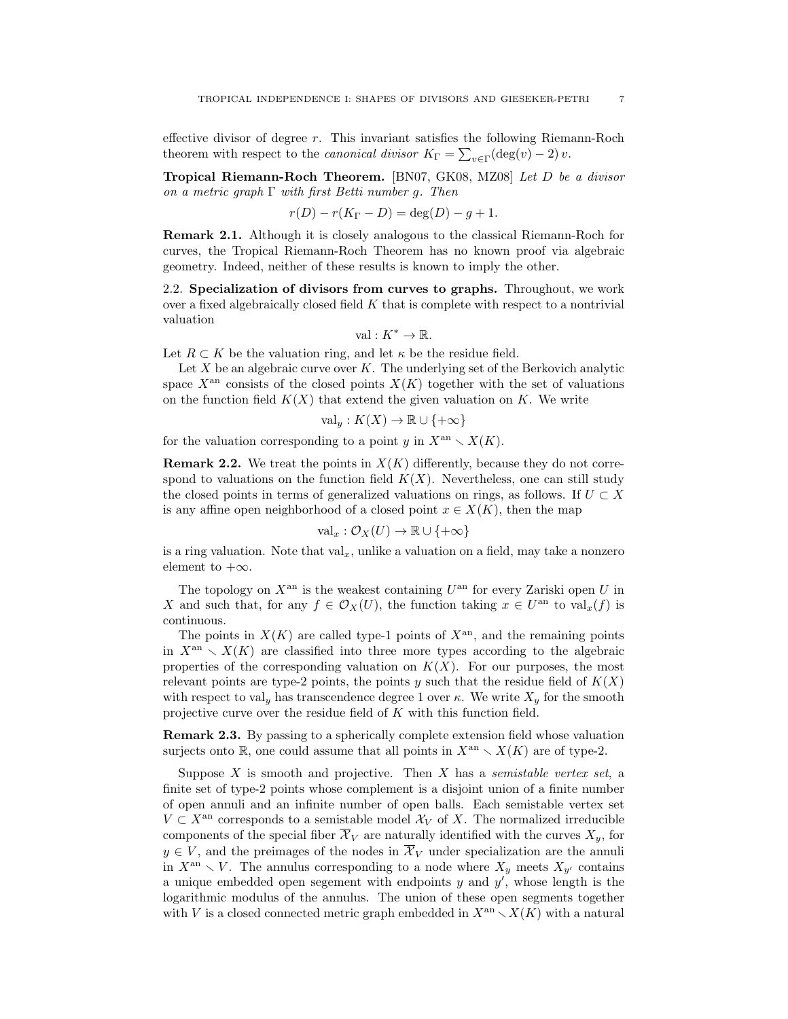effective divisor of degree r. This invariant satisfies the following Riemann-Roch theorem with respect to the *canonical divisor*  $K_{\Gamma} = \sum_{v \in \Gamma} (\deg(v) - 2) v$ .

Tropical Riemann-Roch Theorem. [BN07, GK08, MZ08] Let D be a divisor on a metric graph  $\Gamma$  with first Betti number g. Then

$$
r(D) - r(K_{\Gamma} - D) = \deg(D) - g + 1.
$$

Remark 2.1. Although it is closely analogous to the classical Riemann-Roch for curves, the Tropical Riemann-Roch Theorem has no known proof via algebraic geometry. Indeed, neither of these results is known to imply the other.

2.2. Specialization of divisors from curves to graphs. Throughout, we work over a fixed algebraically closed field  $K$  that is complete with respect to a nontrivial valuation

$$
\text{val}: K^* \to \mathbb{R}.
$$

Let  $R \subset K$  be the valuation ring, and let  $\kappa$  be the residue field.

Let  $X$  be an algebraic curve over  $K$ . The underlying set of the Berkovich analytic space  $X^{\text{an}}$  consists of the closed points  $X(K)$  together with the set of valuations on the function field  $K(X)$  that extend the given valuation on K. We write

$$
\mathrm{val}_y: K(X) \to \mathbb{R} \cup \{+\infty\}
$$

for the valuation corresponding to a point  $y$  in  $X^{an} \setminus X(K)$ .

**Remark 2.2.** We treat the points in  $X(K)$  differently, because they do not correspond to valuations on the function field  $K(X)$ . Nevertheless, one can still study the closed points in terms of generalized valuations on rings, as follows. If  $U \subset X$ is any affine open neighborhood of a closed point  $x \in X(K)$ , then the map

$$
\mathrm{val}_x : \mathcal{O}_X(U) \to \mathbb{R} \cup \{+\infty\}
$$

is a ring valuation. Note that  $val_x$ , unlike a valuation on a field, may take a nonzero element to  $+\infty$ .

The topology on  $X^{\text{an}}$  is the weakest containing  $U^{\text{an}}$  for every Zariski open U in X and such that, for any  $f \in \mathcal{O}_X(U)$ , the function taking  $x \in U^{\text{an}}$  to  $\text{val}_x(f)$  is continuous.

The points in  $X(K)$  are called type-1 points of  $X<sup>an</sup>$ , and the remaining points in  $X<sup>an</sup> \setminus X(K)$  are classified into three more types according to the algebraic properties of the corresponding valuation on  $K(X)$ . For our purposes, the most relevant points are type-2 points, the points y such that the residue field of  $K(X)$ with respect to val<sub>y</sub> has transcendence degree 1 over  $\kappa$ . We write  $X_y$  for the smooth projective curve over the residue field of K with this function field.

Remark 2.3. By passing to a spherically complete extension field whose valuation surjects onto R, one could assume that all points in  $X<sup>an</sup> \setminus X(K)$  are of type-2.

Suppose  $X$  is smooth and projective. Then  $X$  has a *semistable vertex set*, a finite set of type-2 points whose complement is a disjoint union of a finite number of open annuli and an infinite number of open balls. Each semistable vertex set  $V \subset X^{\text{an}}$  corresponds to a semistable model  $\mathcal{X}_V$  of X. The normalized irreducible components of the special fiber  $\overline{\mathcal{X}}_V$  are naturally identified with the curves  $X_y$ , for  $y \in V$ , and the preimages of the nodes in  $\overline{\mathcal{X}}_V$  under specialization are the annuli in  $X^{\text{an}} \setminus V$ . The annulus corresponding to a node where  $X_y$  meets  $X_{y'}$  contains a unique embedded open segement with endpoints  $y$  and  $y'$ , whose length is the logarithmic modulus of the annulus. The union of these open segments together with V is a closed connected metric graph embedded in  $X^{\text{an}} \setminus X(K)$  with a natural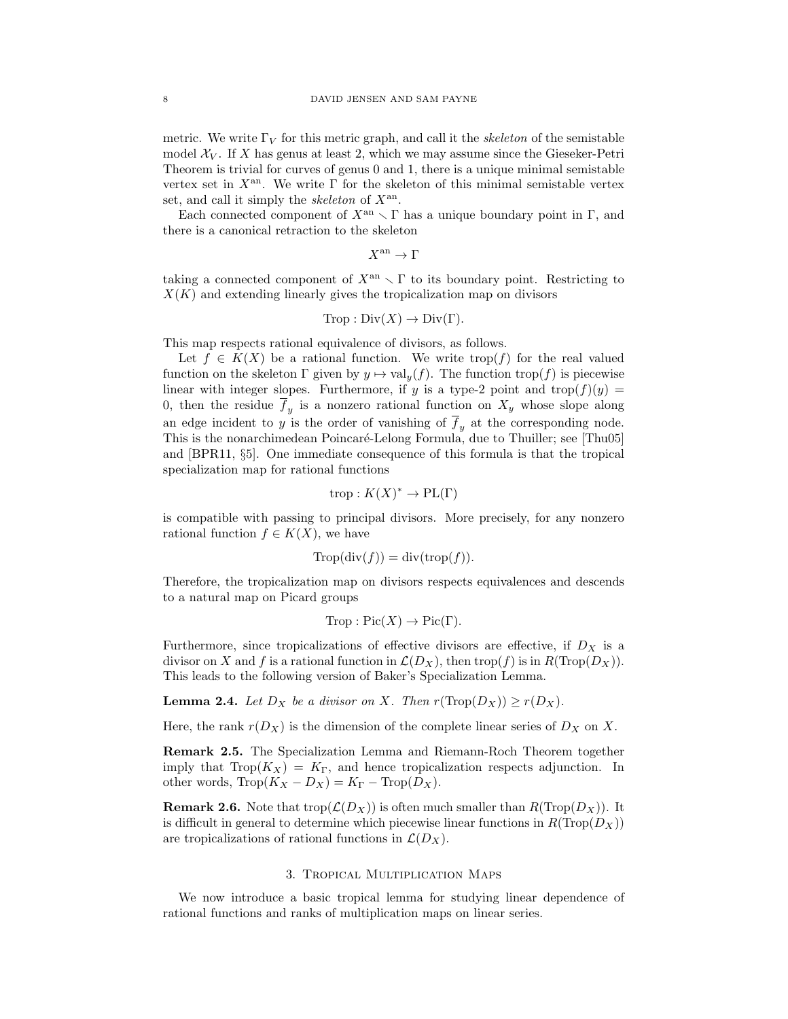metric. We write  $\Gamma_V$  for this metric graph, and call it the *skeleton* of the semistable model  $\mathcal{X}_V$ . If X has genus at least 2, which we may assume since the Gieseker-Petri Theorem is trivial for curves of genus 0 and 1, there is a unique minimal semistable vertex set in  $X^{\text{an}}$ . We write  $\Gamma$  for the skeleton of this minimal semistable vertex set, and call it simply the *skeleton* of  $X^{\text{an}}$ .

Each connected component of  $X^{\text{an}} \setminus \Gamma$  has a unique boundary point in Γ, and there is a canonical retraction to the skeleton

 $X^{\text{an}} \to \Gamma$ 

taking a connected component of  $X^{\text{an}} \setminus \Gamma$  to its boundary point. Restricting to  $X(K)$  and extending linearly gives the tropicalization map on divisors

$$
Trop: Div(X) \to Div(\Gamma).
$$

This map respects rational equivalence of divisors, as follows.

Let  $f \in K(X)$  be a rational function. We write trop(f) for the real valued function on the skeleton  $\Gamma$  given by  $y \mapsto \text{val}_y(f)$ . The function  $\text{trop}(f)$  is piecewise linear with integer slopes. Furthermore, if y is a type-2 point and trop( $f$ )(y) = 0, then the residue  $f_y$  is a nonzero rational function on  $X_y$  whose slope along an edge incident to  $y$  is the order of vanishing of  $\overline{f}_y$  at the corresponding node. This is the nonarchimedean Poincaré-Lelong Formula, due to Thuiller; see [Thu05] and [BPR11, §5]. One immediate consequence of this formula is that the tropical specialization map for rational functions

$$
trop: K(X)^* \to \text{PL}(\Gamma)
$$

is compatible with passing to principal divisors. More precisely, for any nonzero rational function  $f \in K(X)$ , we have

$$
Trop(\text{div}(f)) = \text{div}(\text{trop}(f)).
$$

Therefore, the tropicalization map on divisors respects equivalences and descends to a natural map on Picard groups

$$
Trop : Pic(X) \to Pic(\Gamma).
$$

Furthermore, since tropicalizations of effective divisors are effective, if  $D<sub>X</sub>$  is a divisor on X and f is a rational function in  $\mathcal{L}(D_X)$ , then trop(f) is in  $R(\text{Trop}(D_X))$ . This leads to the following version of Baker's Specialization Lemma.

**Lemma 2.4.** Let  $D_X$  be a divisor on X. Then  $r(Trop(D_X)) \ge r(D_X)$ .

Here, the rank  $r(D_X)$  is the dimension of the complete linear series of  $D_X$  on X.

Remark 2.5. The Specialization Lemma and Riemann-Roch Theorem together imply that  $\text{Top}(K_X) = K_{\Gamma}$ , and hence tropicalization respects adjunction. In other words,  $\text{Trop}(K_X - D_X) = K_{\Gamma} - \text{Trop}(D_X)$ .

**Remark 2.6.** Note that trop $(\mathcal{L}(D_X))$  is often much smaller than  $R(\text{Top}(D_X))$ . It is difficult in general to determine which piecewise linear functions in  $R(Trop(D_X))$ are tropicalizations of rational functions in  $\mathcal{L}(D_X)$ .

#### 3. Tropical Multiplication Maps

We now introduce a basic tropical lemma for studying linear dependence of rational functions and ranks of multiplication maps on linear series.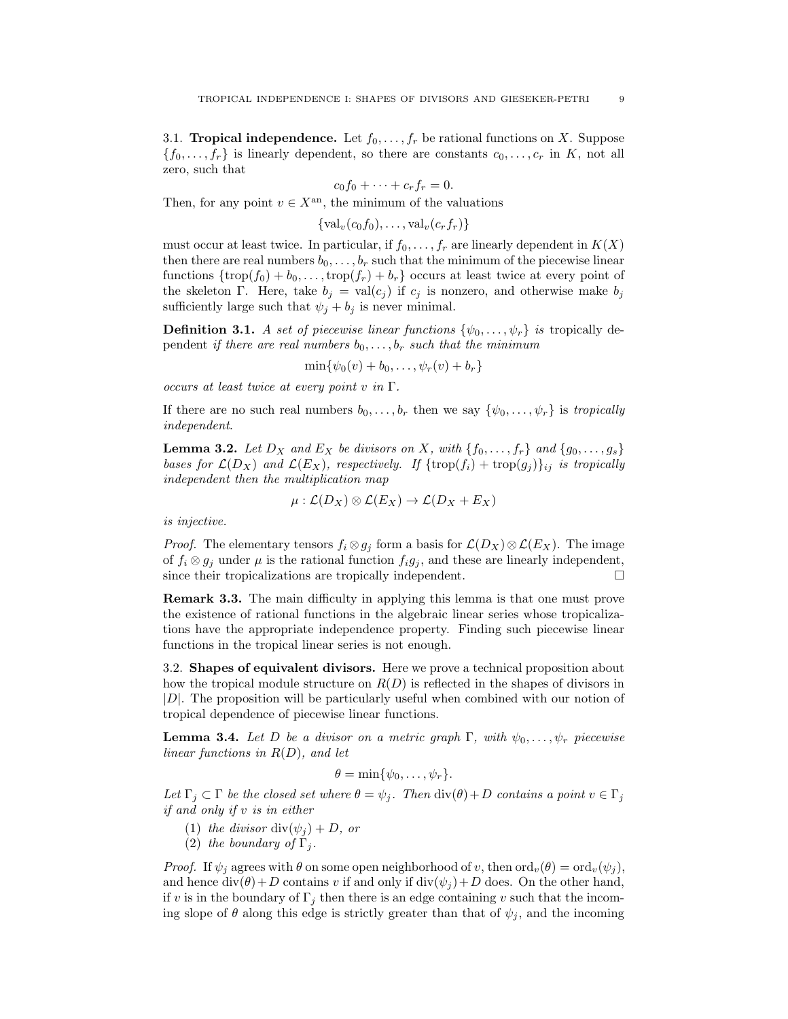3.1. **Tropical independence.** Let  $f_0, \ldots, f_r$  be rational functions on X. Suppose  ${f_0, \ldots, f_r}$  is linearly dependent, so there are constants  $c_0, \ldots, c_r$  in K, not all zero, such that

$$
c_0f_0+\cdots+c_rf_r=0.
$$

Then, for any point  $v \in X^{\text{an}}$ , the minimum of the valuations

 $\{\text{val}_v(c_0, f_0), \ldots, \text{val}_v(c_r, f_r)\}\$ 

must occur at least twice. In particular, if  $f_0, \ldots, f_r$  are linearly dependent in  $K(X)$ then there are real numbers  $b_0, \ldots, b_r$  such that the minimum of the piecewise linear functions  $\{\text{trop}(f_0) + b_0, \ldots, \text{trop}(f_r) + b_r\}$  occurs at least twice at every point of the skeleton Γ. Here, take  $b_j = \text{val}(c_j)$  if  $c_j$  is nonzero, and otherwise make  $b_j$ sufficiently large such that  $\psi_j + b_j$  is never minimal.

**Definition 3.1.** A set of piecewise linear functions  $\{\psi_0, \ldots, \psi_r\}$  is tropically dependent if there are real numbers  $b_0, \ldots, b_r$  such that the minimum

 $\min{\psi_0(v) + b_0, \ldots, \psi_r(v) + b_r}$ 

occurs at least twice at every point v in  $\Gamma$ .

If there are no such real numbers  $b_0, \ldots, b_r$  then we say  $\{\psi_0, \ldots, \psi_r\}$  is tropically independent.

**Lemma 3.2.** Let  $D_X$  and  $E_X$  be divisors on X, with  $\{f_0, \ldots, f_r\}$  and  $\{g_0, \ldots, g_s\}$ bases for  $\mathcal{L}(D_X)$  and  $\mathcal{L}(E_X)$ , respectively. If  $\{\text{trop}(f_i) + \text{trop}(g_j)\}_{ij}$  is tropically independent then the multiplication map

$$
\mu:\mathcal{L}(D_X)\otimes\mathcal{L}(E_X)\to\mathcal{L}(D_X+E_X)
$$

is injective.

*Proof.* The elementary tensors  $f_i \otimes g_j$  form a basis for  $\mathcal{L}(D_X) \otimes \mathcal{L}(E_X)$ . The image of  $f_i \otimes g_j$  under  $\mu$  is the rational function  $f_i g_j$ , and these are linearly independent, since their tropicalizations are tropically independent.  $\Box$ 

Remark 3.3. The main difficulty in applying this lemma is that one must prove the existence of rational functions in the algebraic linear series whose tropicalizations have the appropriate independence property. Finding such piecewise linear functions in the tropical linear series is not enough.

3.2. Shapes of equivalent divisors. Here we prove a technical proposition about how the tropical module structure on  $R(D)$  is reflected in the shapes of divisors in  $|D|$ . The proposition will be particularly useful when combined with our notion of tropical dependence of piecewise linear functions.

**Lemma 3.4.** Let D be a divisor on a metric graph  $\Gamma$ , with  $\psi_0, \ldots, \psi_r$  piecewise linear functions in  $R(D)$ , and let

 $\theta = \min \{ \psi_0, \ldots, \psi_r \}.$ 

Let  $\Gamma_j \subset \Gamma$  be the closed set where  $\theta = \psi_j$ . Then  $\text{div}(\theta) + D$  contains a point  $v \in \Gamma_j$ if and only if v is in either

- (1) the divisor div $(\psi_i) + D$ , or
- (2) the boundary of  $\Gamma_i$ .

*Proof.* If  $\psi_j$  agrees with  $\theta$  on some open neighborhood of v, then  $\text{ord}_v(\theta) = \text{ord}_v(\psi_j)$ , and hence  $div(\theta) + D$  contains v if and only if  $div(\psi_i) + D$  does. On the other hand, if v is in the boundary of  $\Gamma_j$  then there is an edge containing v such that the incoming slope of  $\theta$  along this edge is strictly greater than that of  $\psi_i$ , and the incoming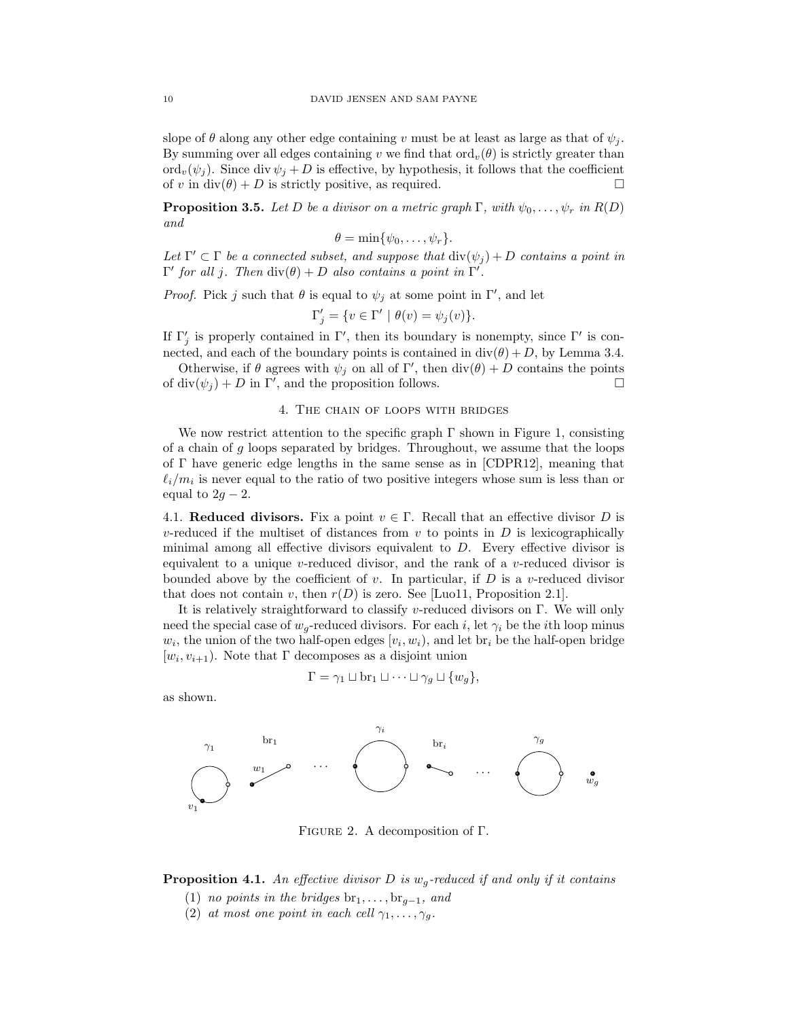slope of  $\theta$  along any other edge containing v must be at least as large as that of  $\psi_i$ . By summing over all edges containing v we find that  $\text{ord}_v(\theta)$  is strictly greater than ord<sub>v</sub> $(\psi_j)$ . Since div  $\psi_j + D$  is effective, by hypothesis, it follows that the coefficient of v in div( $\theta$ ) + D is strictly positive, as required.

**Proposition 3.5.** Let D be a divisor on a metric graph  $\Gamma$ , with  $\psi_0, \ldots, \psi_r$  in  $R(D)$ and

$$
\theta = \min\{\psi_0, \ldots, \psi_r\}.
$$

Let  $\Gamma' \subset \Gamma$  be a connected subset, and suppose that  $\text{div}(\psi_j) + D$  contains a point in  $Γ'$  for all j. Then  $div(θ) + D$  also contains a point in  $Γ'$ .

*Proof.* Pick j such that  $\theta$  is equal to  $\psi_j$  at some point in  $\Gamma'$ , and let

$$
\Gamma_j' = \{ v \in \Gamma' \mid \theta(v) = \psi_j(v) \}.
$$

If  $\Gamma'_j$  is properly contained in  $\Gamma'$ , then its boundary is nonempty, since  $\Gamma'$  is connected, and each of the boundary points is contained in  $div(\theta) + D$ , by Lemma 3.4.

Otherwise, if  $\theta$  agrees with  $\psi_j$  on all of  $\Gamma'$ , then  $\text{div}(\theta) + D$  contains the points of div $(\psi_j) + D$  in  $\Gamma'$ , and the proposition follows.

### 4. The chain of loops with bridges

We now restrict attention to the specific graph  $\Gamma$  shown in Figure 1, consisting of a chain of  $g$  loops separated by bridges. Throughout, we assume that the loops of Γ have generic edge lengths in the same sense as in [CDPR12], meaning that  $\ell_i/m_i$  is never equal to the ratio of two positive integers whose sum is less than or equal to  $2g - 2$ .

4.1. Reduced divisors. Fix a point  $v \in \Gamma$ . Recall that an effective divisor D is v-reduced if the multiset of distances from  $v$  to points in  $D$  is lexicographically minimal among all effective divisors equivalent to D. Every effective divisor is equivalent to a unique v-reduced divisor, and the rank of a v-reduced divisor is bounded above by the coefficient of v. In particular, if  $D$  is a v-reduced divisor that does not contain v, then  $r(D)$  is zero. See [Luo11, Proposition 2.1].

It is relatively straightforward to classify v-reduced divisors on Γ. We will only need the special case of  $w_q$ -reduced divisors. For each i, let  $\gamma_i$  be the ith loop minus  $w_i$ , the union of the two half-open edges  $[v_i, w_i]$ , and let  $\text{br}_i$  be the half-open bridge  $[w_i, v_{i+1})$ . Note that  $\Gamma$  decomposes as a disjoint union

$$
\Gamma = \gamma_1 \sqcup \text{br}_1 \sqcup \cdots \sqcup \gamma_g \sqcup \{w_g\},
$$

as shown.



Figure 2. A decomposition of Γ.

**Proposition 4.1.** An effective divisor D is  $w_q$ -reduced if and only if it contains

- (1) no points in the bridges  $br_1, \ldots, br_{q-1}$ , and
- (2) at most one point in each cell  $\gamma_1, \ldots, \gamma_q$ .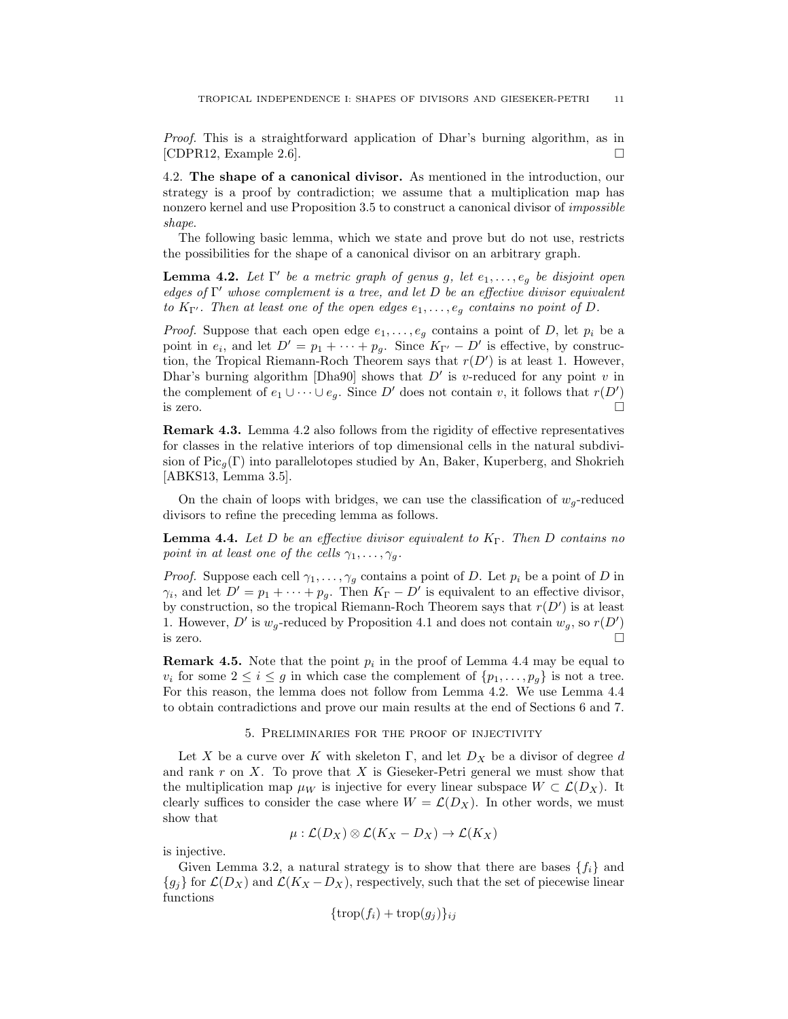Proof. This is a straightforward application of Dhar's burning algorithm, as in [CDPR12, Example 2.6].  $\Box$ 

4.2. The shape of a canonical divisor. As mentioned in the introduction, our strategy is a proof by contradiction; we assume that a multiplication map has nonzero kernel and use Proposition 3.5 to construct a canonical divisor of impossible shape.

The following basic lemma, which we state and prove but do not use, restricts the possibilities for the shape of a canonical divisor on an arbitrary graph.

**Lemma 4.2.** Let  $\Gamma'$  be a metric graph of genus g, let  $e_1, \ldots, e_g$  be disjoint open edges of  $\Gamma'$  whose complement is a tree, and let  $D$  be an effective divisor equivalent to  $K_{\Gamma'}$ . Then at least one of the open edges  $e_1, \ldots, e_g$  contains no point of D.

*Proof.* Suppose that each open edge  $e_1, \ldots, e_g$  contains a point of D, let  $p_i$  be a point in  $e_i$ , and let  $D' = p_1 + \cdots + p_g$ . Since  $K_{\Gamma'} - D'$  is effective, by construction, the Tropical Riemann-Roch Theorem says that  $r(D')$  is at least 1. However, Dhar's burning algorithm [Dha90] shows that  $D'$  is v-reduced for any point v in the complement of  $e_1 \cup \cdots \cup e_g$ . Since D' does not contain v, it follows that  $r(D')$ is zero.  $\Box$ 

Remark 4.3. Lemma 4.2 also follows from the rigidity of effective representatives for classes in the relative interiors of top dimensional cells in the natural subdivision of Pic<sub>a</sub> $(\Gamma)$  into parallelotopes studied by An, Baker, Kuperberg, and Shokrieh [ABKS13, Lemma 3.5].

On the chain of loops with bridges, we can use the classification of  $w<sub>g</sub>$ -reduced divisors to refine the preceding lemma as follows.

**Lemma 4.4.** Let D be an effective divisor equivalent to  $K_{\Gamma}$ . Then D contains no point in at least one of the cells  $\gamma_1, \ldots, \gamma_g$ .

*Proof.* Suppose each cell  $\gamma_1, \ldots, \gamma_g$  contains a point of D. Let  $p_i$  be a point of D in  $\gamma_i$ , and let  $D' = p_1 + \cdots + p_g$ . Then  $K_{\Gamma} - D'$  is equivalent to an effective divisor, by construction, so the tropical Riemann-Roch Theorem says that  $r(D')$  is at least 1. However, D' is  $w_g$ -reduced by Proposition 4.1 and does not contain  $w_g$ , so  $r(D')$ is zero.  $\Box$ 

**Remark 4.5.** Note that the point  $p_i$  in the proof of Lemma 4.4 may be equal to  $v_i$  for some  $2 \leq i \leq g$  in which case the complement of  $\{p_1, \ldots, p_g\}$  is not a tree. For this reason, the lemma does not follow from Lemma 4.2. We use Lemma 4.4 to obtain contradictions and prove our main results at the end of Sections 6 and 7.

#### 5. Preliminaries for the proof of injectivity

Let X be a curve over K with skeleton Γ, and let  $D_X$  be a divisor of degree d and rank  $r$  on  $X$ . To prove that  $X$  is Gieseker-Petri general we must show that the multiplication map  $\mu_W$  is injective for every linear subspace  $W \subset \mathcal{L}(D_X)$ . It clearly suffices to consider the case where  $W = \mathcal{L}(D_X)$ . In other words, we must show that

$$
\mu: \mathcal{L}(D_X) \otimes \mathcal{L}(K_X - D_X) \to \mathcal{L}(K_X)
$$

is injective.

Given Lemma 3.2, a natural strategy is to show that there are bases  $\{f_i\}$  and  ${g_j}$  for  $\mathcal{L}(D_X)$  and  $\mathcal{L}(K_X - D_X)$ , respectively, such that the set of piecewise linear functions

$$
\{\operatorname{trop}(f_i) + \operatorname{trop}(g_j)\}_{ij}
$$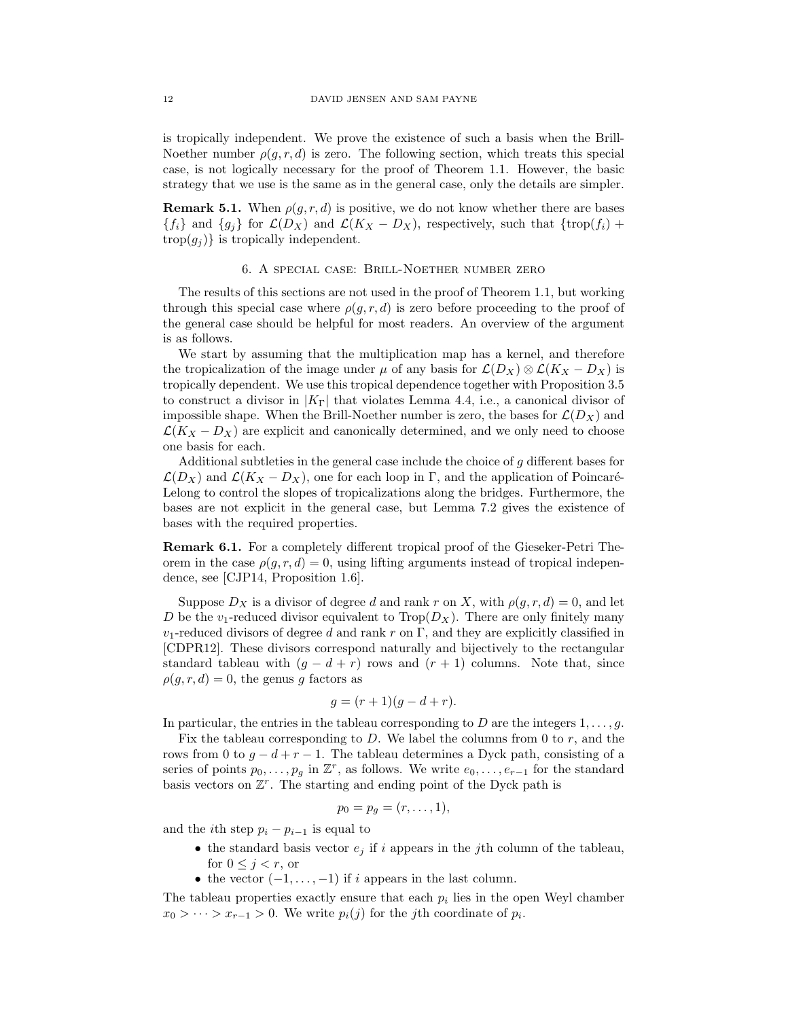is tropically independent. We prove the existence of such a basis when the Brill-Noether number  $\rho(g, r, d)$  is zero. The following section, which treats this special case, is not logically necessary for the proof of Theorem 1.1. However, the basic strategy that we use is the same as in the general case, only the details are simpler.

**Remark 5.1.** When  $\rho(g, r, d)$  is positive, we do not know whether there are bases  ${f_i}$  and  ${g_j}$  for  $\mathcal{L}(D_X)$  and  $\mathcal{L}(K_X - D_X)$ , respectively, such that  ${\text{trop}}(f_i)$  +  $\text{trop}(g_j)$  is tropically independent.

#### 6. A special case: Brill-Noether number zero

The results of this sections are not used in the proof of Theorem 1.1, but working through this special case where  $\rho(q, r, d)$  is zero before proceeding to the proof of the general case should be helpful for most readers. An overview of the argument is as follows.

We start by assuming that the multiplication map has a kernel, and therefore the tropicalization of the image under  $\mu$  of any basis for  $\mathcal{L}(D_X) \otimes \mathcal{L}(K_X - D_X)$  is tropically dependent. We use this tropical dependence together with Proposition 3.5 to construct a divisor in  $|K_{\Gamma}|$  that violates Lemma 4.4, i.e., a canonical divisor of impossible shape. When the Brill-Noether number is zero, the bases for  $\mathcal{L}(D_X)$  and  $\mathcal{L}(K_X - D_X)$  are explicit and canonically determined, and we only need to choose one basis for each.

Additional subtleties in the general case include the choice of  $q$  different bases for  $\mathcal{L}(D_X)$  and  $\mathcal{L}(K_X - D_X)$ , one for each loop in Γ, and the application of Poincaré-Lelong to control the slopes of tropicalizations along the bridges. Furthermore, the bases are not explicit in the general case, but Lemma 7.2 gives the existence of bases with the required properties.

Remark 6.1. For a completely different tropical proof of the Gieseker-Petri Theorem in the case  $\rho(q, r, d) = 0$ , using lifting arguments instead of tropical independence, see [CJP14, Proposition 1.6].

Suppose  $D_X$  is a divisor of degree d and rank r on X, with  $\rho(g, r, d) = 0$ , and let D be the  $v_1$ -reduced divisor equivalent to  $\text{Trop}(D_X)$ . There are only finitely many  $v_1$ -reduced divisors of degree d and rank r on Γ, and they are explicitly classified in [CDPR12]. These divisors correspond naturally and bijectively to the rectangular standard tableau with  $(g - d + r)$  rows and  $(r + 1)$  columns. Note that, since  $\rho(g, r, d) = 0$ , the genus g factors as

$$
g = (r+1)(g-d+r).
$$

In particular, the entries in the tableau corresponding to D are the integers  $1, \ldots, q$ .

Fix the tableau corresponding to D. We label the columns from 0 to  $r$ , and the rows from 0 to  $g - d + r - 1$ . The tableau determines a Dyck path, consisting of a series of points  $p_0, \ldots, p_g$  in  $\mathbb{Z}^r$ , as follows. We write  $e_0, \ldots, e_{r-1}$  for the standard basis vectors on  $\mathbb{Z}^r$ . The starting and ending point of the Dyck path is

$$
p_0=p_g=(r,\ldots,1),
$$

and the *i*th step  $p_i - p_{i-1}$  is equal to

- the standard basis vector  $e_j$  if i appears in the jth column of the tableau, for  $0 \leq j < r$ , or
- the vector  $(-1, \ldots, -1)$  if i appears in the last column.

The tableau properties exactly ensure that each  $p_i$  lies in the open Weyl chamber  $x_0 > \cdots > x_{r-1} > 0$ . We write  $p_i(j)$  for the j<sup>th</sup> coordinate of  $p_i$ .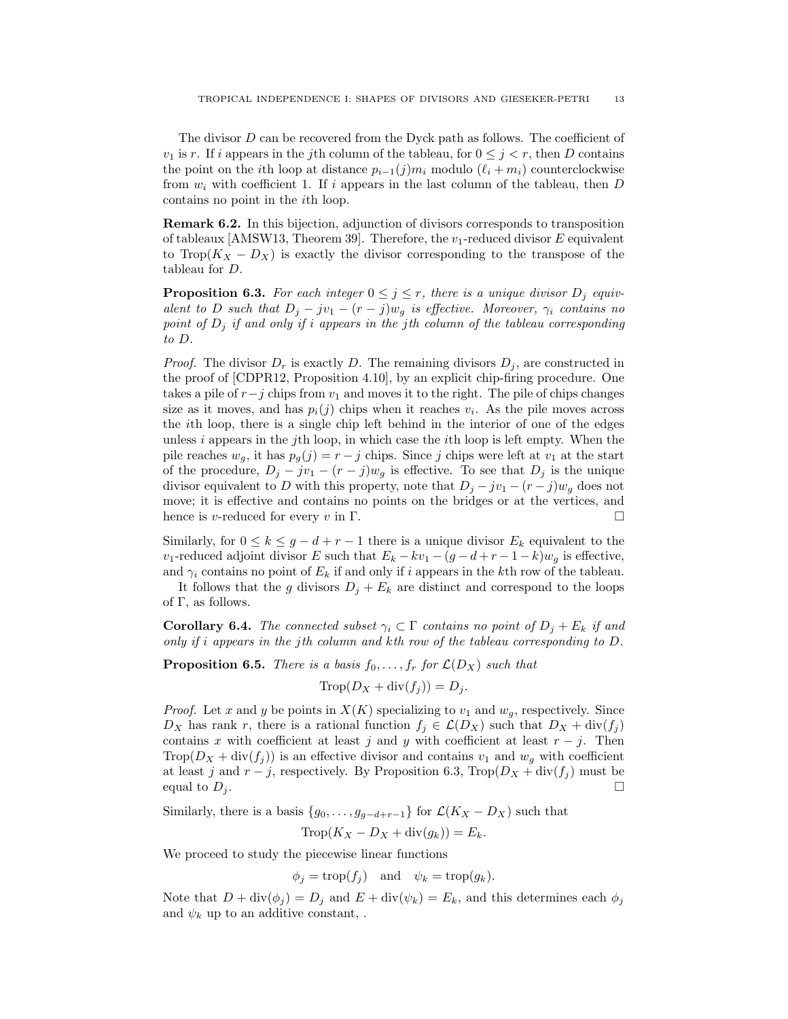The divisor D can be recovered from the Dyck path as follows. The coefficient of  $v_1$  is r. If i appears in the jth column of the tableau, for  $0 \leq j \leq r$ , then D contains the point on the *i*th loop at distance  $p_{i-1}(j)m_i$  modulo  $(\ell_i + m_i)$  counterclockwise from  $w_i$  with coefficient 1. If i appears in the last column of the tableau, then D contains no point in the ith loop.

Remark 6.2. In this bijection, adjunction of divisors corresponds to transposition of tableaux [AMSW13, Theorem 39]. Therefore, the  $v_1$ -reduced divisor E equivalent to Trop( $K_X - D_X$ ) is exactly the divisor corresponding to the transpose of the tableau for D.

**Proposition 6.3.** For each integer  $0 \leq j \leq r$ , there is a unique divisor  $D_j$  equivalent to D such that  $D_j - jv_1 - (r - j)w_g$  is effective. Moreover,  $\gamma_i$  contains no point of  $D_j$  if and only if i appears in the jth column of the tableau corresponding to D.

*Proof.* The divisor  $D_r$  is exactly D. The remaining divisors  $D_i$ , are constructed in the proof of [CDPR12, Proposition 4.10], by an explicit chip-firing procedure. One takes a pile of  $r-j$  chips from  $v_1$  and moves it to the right. The pile of chips changes size as it moves, and has  $p_i(j)$  chips when it reaches  $v_i$ . As the pile moves across the ith loop, there is a single chip left behind in the interior of one of the edges unless  $i$  appears in the j<sup>th</sup> loop, in which case the *i*<sup>th</sup> loop is left empty. When the pile reaches  $w_q$ , it has  $p_q(j) = r - j$  chips. Since j chips were left at  $v_1$  at the start of the procedure,  $D_j - jv_1 - (r - j)w_q$  is effective. To see that  $D_j$  is the unique divisor equivalent to D with this property, note that  $D_j - jv_1 - (r - j)w_q$  does not move; it is effective and contains no points on the bridges or at the vertices, and hence is v-reduced for every v in Γ.  $\Box$ 

Similarly, for  $0 \le k \le g - d + r - 1$  there is a unique divisor  $E_k$  equivalent to the v<sub>1</sub>-reduced adjoint divisor E such that  $E_k - kv_1 - (g - d + r - 1 - k)w_g$  is effective, and  $\gamma_i$  contains no point of  $E_k$  if and only if i appears in the kth row of the tableau.

It follows that the g divisors  $D_j + E_k$  are distinct and correspond to the loops of  $\Gamma$ , as follows.

**Corollary 6.4.** The connected subset  $\gamma_i \subset \Gamma$  contains no point of  $D_j + E_k$  if and only if i appears in the jth column and kth row of the tableau corresponding to  $D$ .

**Proposition 6.5.** There is a basis  $f_0, \ldots, f_r$  for  $\mathcal{L}(D_X)$  such that

$$
\text{Trop}(D_X + \text{div}(f_j)) = D_j.
$$

*Proof.* Let x and y be points in  $X(K)$  specializing to  $v_1$  and  $w_q$ , respectively. Since  $D_X$  has rank r, there is a rational function  $f_j \in \mathcal{L}(D_X)$  such that  $D_X + \text{div}(f_j)$ contains x with coefficient at least j and y with coefficient at least  $r - j$ . Then Trop $(D_X + \text{div}(f_i))$  is an effective divisor and contains  $v_1$  and  $w_q$  with coefficient at least j and  $r - j$ , respectively. By Proposition 6.3, Trop $(D_X + \text{div}(f_i))$  must be equal to  $D_i$ .

Similarly, there is a basis  $\{g_0, \ldots, g_{q-d+r-1}\}\$ for  $\mathcal{L}(K_X - D_X)$  such that

$$
\text{Trop}(K_X - D_X + \text{div}(g_k)) = E_k.
$$

We proceed to study the piecewise linear functions

$$
\phi_j = \operatorname{trop}(f_j)
$$
 and  $\psi_k = \operatorname{trop}(g_k)$ .

Note that  $D + \text{div}(\phi_j) = D_j$  and  $E + \text{div}(\psi_k) = E_k$ , and this determines each  $\phi_j$ and  $\psi_k$  up to an additive constant, .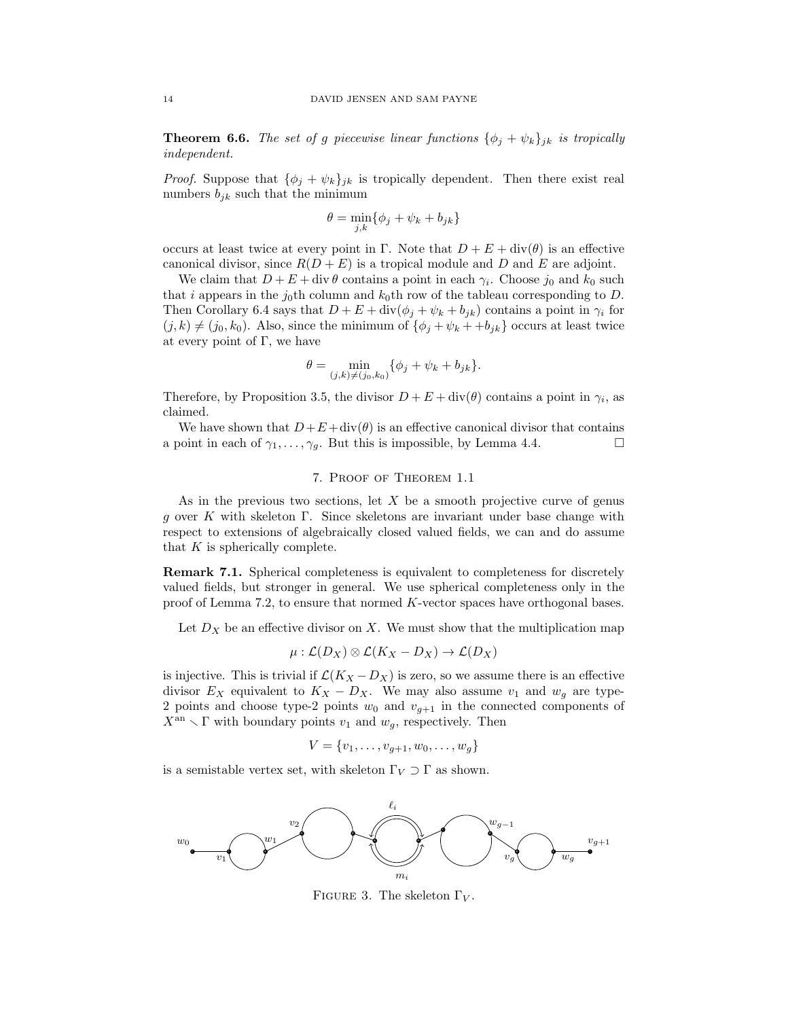**Theorem 6.6.** The set of g piecewise linear functions  $\{\phi_j + \psi_k\}_{jk}$  is tropically independent.

*Proof.* Suppose that  $\{\phi_i + \psi_k\}_{ik}$  is tropically dependent. Then there exist real numbers  $b_{jk}$  such that the minimum

$$
\theta = \min_{j,k} \{ \phi_j + \psi_k + b_{jk} \}
$$

occurs at least twice at every point in Γ. Note that  $D + E + \text{div}(\theta)$  is an effective canonical divisor, since  $R(D+E)$  is a tropical module and D and E are adjoint.

We claim that  $D + E + \text{div }\theta$  contains a point in each  $\gamma_i$ . Choose  $j_0$  and  $k_0$  such that i appears in the  $j_0$ th column and  $k_0$ th row of the tableau corresponding to D. Then Corollary 6.4 says that  $D + E + \text{div}(\phi_j + \psi_k + b_{jk})$  contains a point in  $\gamma_i$  for  $(j, k) \neq (j_0, k_0)$ . Also, since the minimum of  $\{\phi_i + \psi_k + \phi_{jk}\}\)$  occurs at least twice at every point of  $\Gamma$ , we have

$$
\theta = \min_{(j,k)\neq (j_0,k_0)} \{ \phi_j + \psi_k + b_{jk} \}.
$$

Therefore, by Proposition 3.5, the divisor  $D + E + \text{div}(\theta)$  contains a point in  $\gamma_i$ , as claimed.

We have shown that  $D+E+\text{div}(\theta)$  is an effective canonical divisor that contains a point in each of  $\gamma_1, \ldots, \gamma_q$ . But this is impossible, by Lemma 4.4.

# 7. Proof of Theorem 1.1

As in the previous two sections, let  $X$  be a smooth projective curve of genus g over K with skeleton Γ. Since skeletons are invariant under base change with respect to extensions of algebraically closed valued fields, we can and do assume that  $K$  is spherically complete.

Remark 7.1. Spherical completeness is equivalent to completeness for discretely valued fields, but stronger in general. We use spherical completeness only in the proof of Lemma 7.2, to ensure that normed K-vector spaces have orthogonal bases.

Let  $D_X$  be an effective divisor on X. We must show that the multiplication map

$$
\mu: \mathcal{L}(D_X) \otimes \mathcal{L}(K_X - D_X) \to \mathcal{L}(D_X)
$$

is injective. This is trivial if  $\mathcal{L}(K_X - D_X)$  is zero, so we assume there is an effective divisor  $E_X$  equivalent to  $K_X - D_X$ . We may also assume  $v_1$  and  $w_g$  are type-2 points and choose type-2 points  $w_0$  and  $v_{g+1}$  in the connected components of  $X^{\text{an}} \setminus \Gamma$  with boundary points  $v_1$  and  $w_q$ , respectively. Then

$$
V = \{v_1, \ldots, v_{g+1}, w_0, \ldots, w_g\}
$$

is a semistable vertex set, with skeleton  $\Gamma_V \supset \Gamma$  as shown.



FIGURE 3. The skeleton  $\Gamma_V$ .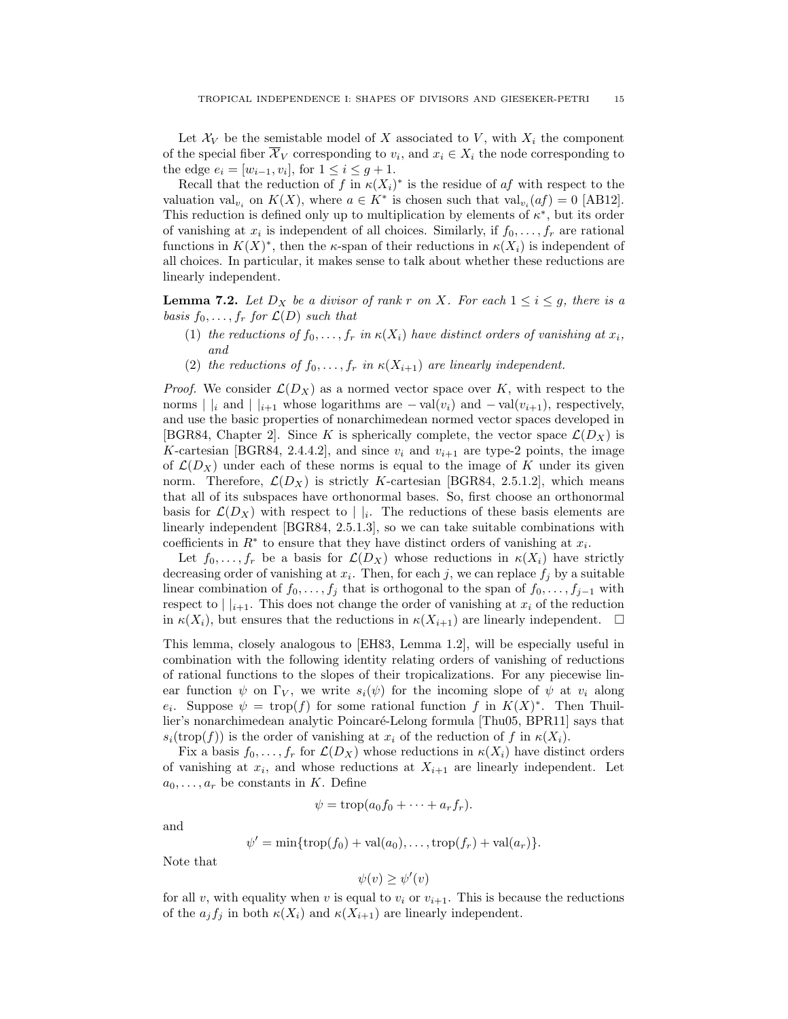Let  $\mathcal{X}_V$  be the semistable model of X associated to V, with  $X_i$  the component of the special fiber  $\mathcal{X}_V$  corresponding to  $v_i$ , and  $x_i \in X_i$  the node corresponding to the edge  $e_i = [w_{i-1}, v_i]$ , for  $1 \le i \le g+1$ .

Recall that the reduction of f in  $\kappa(X_i)^*$  is the residue of af with respect to the valuation val<sub>v<sub>i</sub></sub> on  $K(X)$ , where  $a \in K^*$  is chosen such that val<sub>v<sub>i</sub></sub> $(af) = 0$  [AB12]. This reduction is defined only up to multiplication by elements of  $\kappa^*$ , but its order of vanishing at  $x_i$  is independent of all choices. Similarly, if  $f_0, \ldots, f_r$  are rational functions in  $K(X)^*$ , then the  $\kappa$ -span of their reductions in  $\kappa(X_i)$  is independent of all choices. In particular, it makes sense to talk about whether these reductions are linearly independent.

**Lemma 7.2.** Let  $D_X$  be a divisor of rank r on X. For each  $1 \le i \le g$ , there is a basis  $f_0, \ldots, f_r$  for  $\mathcal{L}(D)$  such that

- (1) the reductions of  $f_0, \ldots, f_r$  in  $\kappa(X_i)$  have distinct orders of vanishing at  $x_i$ , and
- (2) the reductions of  $f_0, \ldots, f_r$  in  $\kappa(X_{i+1})$  are linearly independent.

*Proof.* We consider  $\mathcal{L}(D_X)$  as a normed vector space over K, with respect to the norms | |<sub>i</sub> and | |<sub>i+1</sub> whose logarithms are  $-\text{val}(v_i)$  and  $-\text{val}(v_{i+1})$ , respectively, and use the basic properties of nonarchimedean normed vector spaces developed in [BGR84, Chapter 2]. Since K is spherically complete, the vector space  $\mathcal{L}(D_X)$  is K-cartesian [BGR84, 2.4.4.2], and since  $v_i$  and  $v_{i+1}$  are type-2 points, the image of  $\mathcal{L}(D_X)$  under each of these norms is equal to the image of K under its given norm. Therefore,  $\mathcal{L}(D_X)$  is strictly K-cartesian [BGR84, 2.5.1.2], which means that all of its subspaces have orthonormal bases. So, first choose an orthonormal basis for  $\mathcal{L}(D_X)$  with respect to  $||i||$ . The reductions of these basis elements are linearly independent [BGR84, 2.5.1.3], so we can take suitable combinations with coefficients in  $R^*$  to ensure that they have distinct orders of vanishing at  $x_i$ .

Let  $f_0, \ldots, f_r$  be a basis for  $\mathcal{L}(D_X)$  whose reductions in  $\kappa(X_i)$  have strictly decreasing order of vanishing at  $x_i$ . Then, for each j, we can replace  $f_j$  by a suitable linear combination of  $f_0, \ldots, f_j$  that is orthogonal to the span of  $f_0, \ldots, f_{j-1}$  with respect to  $||_{i+1}$ . This does not change the order of vanishing at  $x_i$  of the reduction in  $\kappa(X_i)$ , but ensures that the reductions in  $\kappa(X_{i+1})$  are linearly independent.  $\Box$ 

This lemma, closely analogous to [EH83, Lemma 1.2], will be especially useful in combination with the following identity relating orders of vanishing of reductions of rational functions to the slopes of their tropicalizations. For any piecewise linear function  $\psi$  on  $\Gamma_V$ , we write  $s_i(\psi)$  for the incoming slope of  $\psi$  at  $v_i$  along  $e_i$ . Suppose  $\psi = \text{trop}(f)$  for some rational function f in  $K(X)^*$ . Then Thuillier's nonarchimedean analytic Poincaré-Lelong formula [Thu05, BPR11] says that  $s_i(\text{trop}(f))$  is the order of vanishing at  $x_i$  of the reduction of f in  $\kappa(X_i)$ .

Fix a basis  $f_0, \ldots, f_r$  for  $\mathcal{L}(D_X)$  whose reductions in  $\kappa(X_i)$  have distinct orders of vanishing at  $x_i$ , and whose reductions at  $X_{i+1}$  are linearly independent. Let  $a_0, \ldots, a_r$  be constants in K. Define

$$
\psi = \operatorname{trop}(a_0 f_0 + \cdots + a_r f_r).
$$

and

$$
\psi' = \min\{\operatorname{trop}(f_0) + \operatorname{val}(a_0), \dots, \operatorname{trop}(f_r) + \operatorname{val}(a_r)\}.
$$

Note that

$$
\psi(v) \ge \psi'(v)
$$

for all v, with equality when v is equal to  $v_i$  or  $v_{i+1}$ . This is because the reductions of the  $a_j f_j$  in both  $\kappa(X_i)$  and  $\kappa(X_{i+1})$  are linearly independent.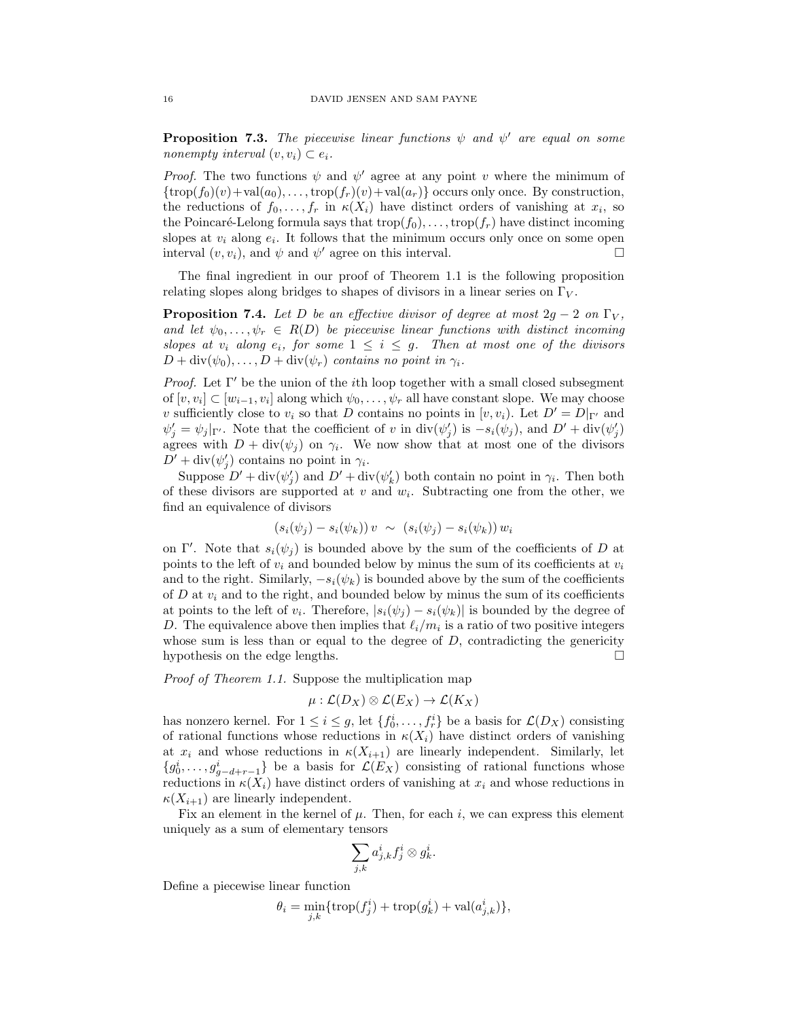**Proposition 7.3.** The piecewise linear functions  $\psi$  and  $\psi'$  are equal on some nonempty interval  $(v, v_i) \subset e_i$ .

*Proof.* The two functions  $\psi$  and  $\psi'$  agree at any point v where the minimum of  $\{\text{trop}(f_0)(v)+\text{val}(a_0),\ldots,\text{trop}(f_r)(v)+\text{val}(a_r)\}\)$  occurs only once. By construction, the reductions of  $f_0, \ldots, f_r$  in  $\kappa(X_i)$  have distinct orders of vanishing at  $x_i$ , so the Poincaré-Lelong formula says that  $\text{trop}(f_0), \ldots, \text{trop}(f_r)$  have distinct incoming slopes at  $v_i$  along  $e_i$ . It follows that the minimum occurs only once on some open interval  $(v, v_i)$ , and  $\psi$  and  $\psi'$  agree on this interval.

The final ingredient in our proof of Theorem 1.1 is the following proposition relating slopes along bridges to shapes of divisors in a linear series on  $\Gamma_V$ .

**Proposition 7.4.** Let D be an effective divisor of degree at most  $2g - 2$  on  $\Gamma_V$ , and let  $\psi_0, \ldots, \psi_r \in R(D)$  be piecewise linear functions with distinct incoming slopes at  $v_i$  along  $e_i$ , for some  $1 \leq i \leq g$ . Then at most one of the divisors  $D + \text{div}(\psi_0), \ldots, D + \text{div}(\psi_r)$  contains no point in  $\gamma_i$ .

*Proof.* Let  $\Gamma'$  be the union of the *i*th loop together with a small closed subsegment of  $[v, v_i] \subset [w_{i-1}, v_i]$  along which  $\psi_0, \ldots, \psi_r$  all have constant slope. We may choose v sufficiently close to  $v_i$  so that D contains no points in  $[v, v_i)$ . Let  $D' = D|_{\Gamma'}$  and  $\psi'_j = \psi_j|_{\Gamma'}$ . Note that the coefficient of v in  $\text{div}(\psi'_j)$  is  $-s_i(\psi_j)$ , and  $D' + \text{div}(\psi'_j)$ agrees with  $D + \text{div}(\psi_j)$  on  $\gamma_i$ . We now show that at most one of the divisors  $D' + \text{div}(\psi'_j)$  contains no point in  $\gamma_i$ .

Suppose  $D' + \text{div}(\psi_j')$  and  $D' + \text{div}(\psi_k')$  both contain no point in  $\gamma_i$ . Then both of these divisors are supported at  $v$  and  $w_i$ . Subtracting one from the other, we find an equivalence of divisors

$$
(s_i(\psi_j) - s_i(\psi_k)) v \sim (s_i(\psi_j) - s_i(\psi_k)) w_i
$$

on Γ'. Note that  $s_i(\psi_j)$  is bounded above by the sum of the coefficients of D at points to the left of  $v_i$  and bounded below by minus the sum of its coefficients at  $v_i$ and to the right. Similarly,  $-s_i(\psi_k)$  is bounded above by the sum of the coefficients of D at  $v_i$  and to the right, and bounded below by minus the sum of its coefficients at points to the left of  $v_i$ . Therefore,  $|s_i(\psi_j) - s_i(\psi_k)|$  is bounded by the degree of D. The equivalence above then implies that  $\ell_i/m_i$  is a ratio of two positive integers whose sum is less than or equal to the degree of  $D$ , contradicting the genericity hypothesis on the edge lengths.

Proof of Theorem 1.1. Suppose the multiplication map

$$
\mu : \mathcal{L}(D_X) \otimes \mathcal{L}(E_X) \to \mathcal{L}(K_X)
$$

has nonzero kernel. For  $1 \leq i \leq g$ , let  $\{f_0^i, \ldots, f_r^i\}$  be a basis for  $\mathcal{L}(D_X)$  consisting of rational functions whose reductions in  $\kappa(X_i)$  have distinct orders of vanishing at  $x_i$  and whose reductions in  $\kappa(X_{i+1})$  are linearly independent. Similarly, let  ${g_0^i, \ldots, g_{g-d+r-1}^i}$  be a basis for  $\mathcal{L}(E_X)$  consisting of rational functions whose reductions in  $\kappa(X_i)$  have distinct orders of vanishing at  $x_i$  and whose reductions in  $\kappa(X_{i+1})$  are linearly independent.

Fix an element in the kernel of  $\mu$ . Then, for each i, we can express this element uniquely as a sum of elementary tensors

$$
\sum_{j,k}a_{j,k}^if_j^i\otimes g_k^i.
$$

Define a piecewise linear function

$$
\theta_i = \min_{j,k} \{ \operatorname{trop}(f_j^i) + \operatorname{trop}(g_k^i) + \operatorname{val}(a_{j,k}^i) \},
$$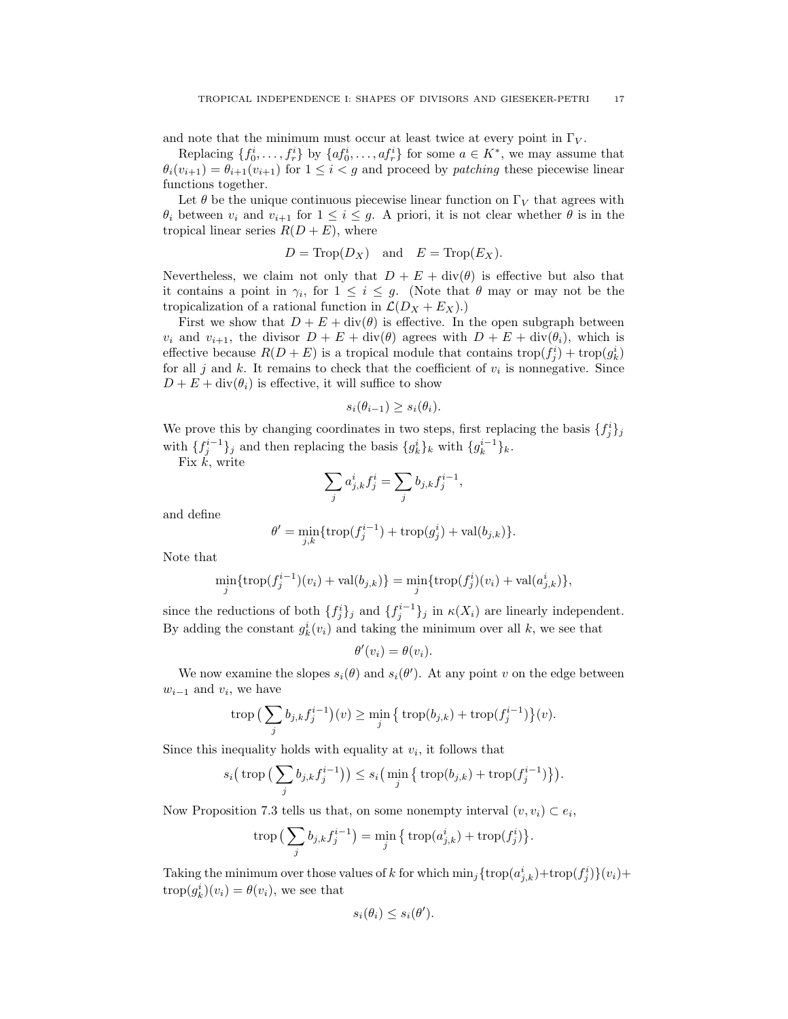and note that the minimum must occur at least twice at every point in  $\Gamma_V$ .

Replacing  $\{f_0^i, \ldots, f_r^i\}$  by  $\{af_0^i, \ldots, af_r^i\}$  for some  $a \in K^*$ , we may assume that  $\theta_i(v_{i+1}) = \theta_{i+1}(v_{i+1})$  for  $1 \leq i < g$  and proceed by *patching* these piecewise linear functions together.

Let  $\theta$  be the unique continuous piecewise linear function on  $\Gamma_V$  that agrees with  $\theta_i$  between  $v_i$  and  $v_{i+1}$  for  $1 \leq i \leq g$ . A priori, it is not clear whether  $\theta$  is in the tropical linear series  $R(D + E)$ , where

$$
D = \text{Trop}(D_X)
$$
 and  $E = \text{Trop}(E_X)$ .

Nevertheless, we claim not only that  $D + E + \text{div}(\theta)$  is effective but also that it contains a point in  $\gamma_i$ , for  $1 \leq i \leq g$ . (Note that  $\theta$  may or may not be the tropicalization of a rational function in  $\mathcal{L}(D_X + E_X)$ .

First we show that  $D + E + \text{div}(\theta)$  is effective. In the open subgraph between  $v_i$  and  $v_{i+1}$ , the divisor  $D + E + \text{div}(\theta)$  agrees with  $D + E + \text{div}(\theta_i)$ , which is effective because  $R(D + E)$  is a tropical module that contains  $\text{trop}(f_j^i) + \text{trop}(g_k^i)$ for all  $j$  and  $k$ . It remains to check that the coefficient of  $v_i$  is nonnegative. Since  $D + E + \text{div}(\theta_i)$  is effective, it will suffice to show

$$
s_i(\theta_{i-1}) \ge s_i(\theta_i).
$$

We prove this by changing coordinates in two steps, first replacing the basis  $\{f_j^i\}_j$ with  $\{f_j^{i-1}\}_j$  and then replacing the basis  $\{g_k^i\}_k$  with  $\{g_k^{i-1}\}_k$ .

Fix  $\vec{k}$ , write

$$
\sum_j a_{j,k}^i f_j^i = \sum_j b_{j,k} f_j^{i-1},
$$

and define

$$
\theta' = \min_{j,k} \{ \operatorname{trop}(f_j^{i-1}) + \operatorname{trop}(g_j^i) + \operatorname{val}(b_{j,k}) \}.
$$

Note that

$$
\min_{j} \{ \operatorname{trop}(f_j^{i-1})(v_i) + \operatorname{val}(b_{j,k}) \} = \min_{j} \{ \operatorname{trop}(f_j^{i})(v_i) + \operatorname{val}(a_{j,k}^{i}) \},
$$

since the reductions of both  $\{f_j^i\}_j$  and  $\{f_j^{i-1}\}_j$  in  $\kappa(X_i)$  are linearly independent. By adding the constant  $g_k^i(v_i)$  and taking the minimum over all k, we see that

$$
\theta'(v_i) = \theta(v_i).
$$

We now examine the slopes  $s_i(\theta)$  and  $s_i(\theta')$ . At any point v on the edge between  $w_{i-1}$  and  $v_i$ , we have

$$
\operatorname{trop}\big(\sum_j b_{j,k} f_j^{i-1}\big)(v) \ge \min_j \left\{ \operatorname{trop}(b_{j,k}) + \operatorname{trop}(f_j^{i-1}) \right\}(v).
$$

Since this inequality holds with equality at  $v_i$ , it follows that

$$
s_i\big(\operatorname{trop}\big(\sum_j b_{j,k} f_j^{i-1}\big)\big) \le s_i\big(\min_j \big\{\operatorname{trop}(b_{j,k}) + \operatorname{trop}(f_j^{i-1})\big\}\big).
$$

Now Proposition 7.3 tells us that, on some nonempty interval  $(v, v_i) \subset e_i$ ,

$$
\operatorname{trop}\big(\sum_j b_{j,k} f_j^{i-1}\big) = \min_j \big\{ \operatorname{trop}(a_{j,k}^i) + \operatorname{trop}(f_j^i) \big\}.
$$

Taking the minimum over those values of k for which  $\min_j {\text{trop}(a_{j,k}^i)} + \text{trop}(f_j^i){}(v_i) +$  $\text{trop}(g_k^i)(v_i) = \theta(v_i)$ , we see that

$$
s_i(\theta_i) \le s_i(\theta').
$$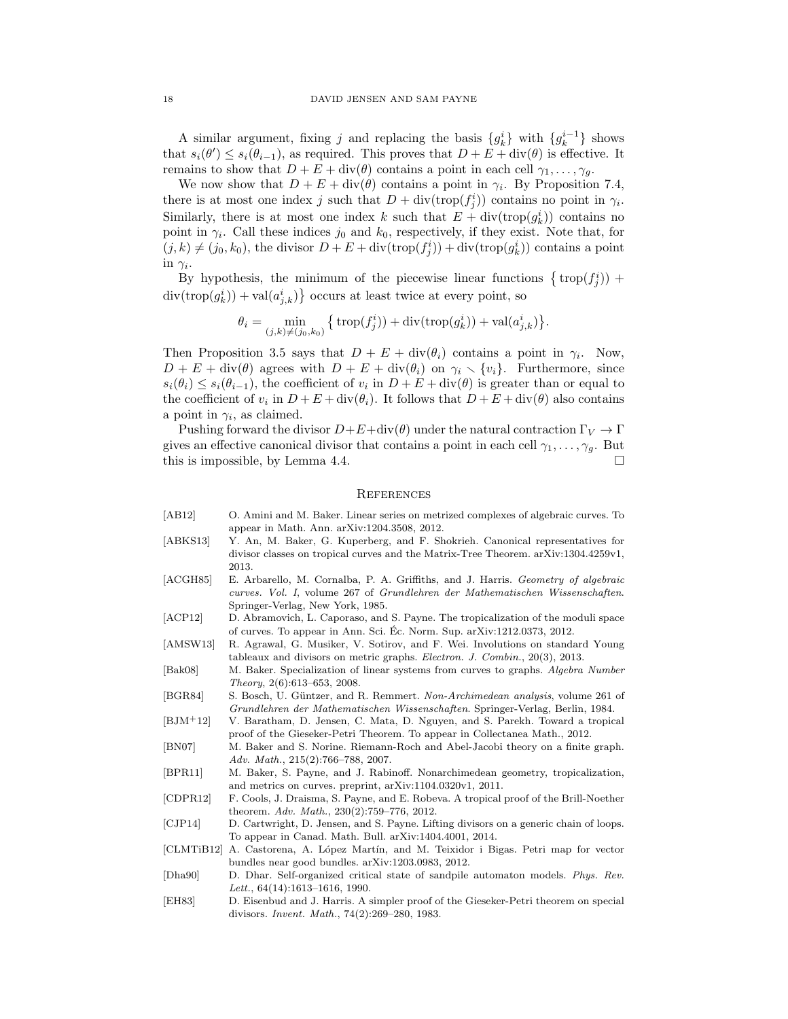A similar argument, fixing j and replacing the basis  ${g_k^i}$  with  ${g_k^{i-1}}$  shows that  $s_i(\theta') \leq s_i(\theta_{i-1})$ , as required. This proves that  $D + E + \text{div}(\theta)$  is effective. It remains to show that  $D + E + \text{div}(\theta)$  contains a point in each cell  $\gamma_1, \ldots, \gamma_g$ .

We now show that  $D + E + \text{div}(\theta)$  contains a point in  $\gamma_i$ . By Proposition 7.4, there is at most one index j such that  $D + \text{div}(\text{trop}(f_i^i))$  contains no point in  $\gamma_i$ . Similarly, there is at most one index k such that  $E + \text{div}(\text{trop}(g_k^i))$  contains no point in  $\gamma_i$ . Call these indices  $j_0$  and  $k_0$ , respectively, if they exist. Note that, for  $(j, k) \neq (j_0, k_0)$ , the divisor  $D + E + \text{div}(\text{trop}(f_j^i)) + \text{div}(\text{trop}(g_k^i))$  contains a point in  $\gamma_i$ .

By hypothesis, the minimum of the piecewise linear functions  $\{ \text{trop}(f_j^i) \}$  +  $\text{div}(\text{trop}(g_k^i)) + \text{val}(a_{j,k}^i)$  occurs at least twice at every point, so

$$
\theta_i = \min_{(j,k) \neq (j_0,k_0)} \big\{ \operatorname{trop}(f_j^i)) + \operatorname{div}(\operatorname{trop}(g_k^i)) + \operatorname{val}(a_{j,k}^i) \big\}.
$$

Then Proposition 3.5 says that  $D + E + \text{div}(\theta_i)$  contains a point in  $\gamma_i$ . Now,  $D + E + \text{div}(\theta)$  agrees with  $D + E + \text{div}(\theta_i)$  on  $\gamma_i \setminus \{v_i\}$ . Furthermore, since  $s_i(\theta_i) \leq s_i(\theta_{i-1})$ , the coefficient of  $v_i$  in  $D + E + \text{div}(\theta)$  is greater than or equal to the coefficient of  $v_i$  in  $D + E + \text{div}(\theta_i)$ . It follows that  $D + E + \text{div}(\theta)$  also contains a point in  $\gamma_i$ , as claimed.

Pushing forward the divisor  $D+E+\text{div}(\theta)$  under the natural contraction  $\Gamma_V \to \Gamma$ gives an effective canonical divisor that contains a point in each cell  $\gamma_1, \ldots, \gamma_g$ . But this is impossible, by Lemma 4.4.

#### **REFERENCES**

- [AB12] O. Amini and M. Baker. Linear series on metrized complexes of algebraic curves. To appear in Math. Ann. arXiv:1204.3508, 2012.
- [ABKS13] Y. An, M. Baker, G. Kuperberg, and F. Shokrieh. Canonical representatives for divisor classes on tropical curves and the Matrix-Tree Theorem. arXiv:1304.4259v1, 2013.
- [ACGH85] E. Arbarello, M. Cornalba, P. A. Griffiths, and J. Harris. Geometry of algebraic curves. Vol. I, volume 267 of Grundlehren der Mathematischen Wissenschaften. Springer-Verlag, New York, 1985.
- [ACP12] D. Abramovich, L. Caporaso, and S. Payne. The tropicalization of the moduli space of curves. To appear in Ann. Sci. Ec. Norm. Sup. arXiv:1212.0373, 2012. ´
- [AMSW13] R. Agrawal, G. Musiker, V. Sotirov, and F. Wei. Involutions on standard Young tableaux and divisors on metric graphs. Electron. J. Combin., 20(3), 2013.
- [Bak08] M. Baker. Specialization of linear systems from curves to graphs. Algebra Number Theory, 2(6):613–653, 2008.
- [BGR84] S. Bosch, U. Güntzer, and R. Remmert. Non-Archimedean analysis, volume 261 of Grundlehren der Mathematischen Wissenschaften. Springer-Verlag, Berlin, 1984.
- [BJM+12] V. Baratham, D. Jensen, C. Mata, D. Nguyen, and S. Parekh. Toward a tropical proof of the Gieseker-Petri Theorem. To appear in Collectanea Math., 2012.
- [BN07] M. Baker and S. Norine. Riemann-Roch and Abel-Jacobi theory on a finite graph. Adv. Math., 215(2):766–788, 2007.
- [BPR11] M. Baker, S. Payne, and J. Rabinoff. Nonarchimedean geometry, tropicalization, and metrics on curves. preprint, arXiv:1104.0320v1, 2011.
- [CDPR12] F. Cools, J. Draisma, S. Payne, and E. Robeva. A tropical proof of the Brill-Noether theorem. Adv. Math., 230(2):759–776, 2012.
- [CJP14] D. Cartwright, D. Jensen, and S. Payne. Lifting divisors on a generic chain of loops. To appear in Canad. Math. Bull. arXiv:1404.4001, 2014.
- [CLMTiB12] A. Castorena, A. López Martín, and M. Teixidor i Bigas. Petri map for vector bundles near good bundles. arXiv:1203.0983, 2012.
- [Dha90] D. Dhar. Self-organized critical state of sandpile automaton models. Phys. Rev. Lett., 64(14):1613–1616, 1990.
- [EH83] D. Eisenbud and J. Harris. A simpler proof of the Gieseker-Petri theorem on special divisors. Invent. Math., 74(2):269–280, 1983.